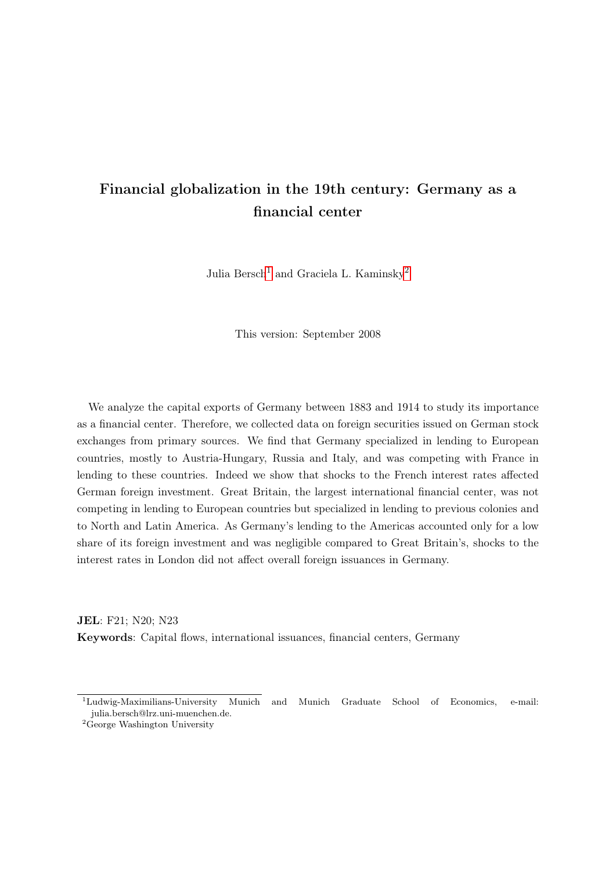# Financial globalization in the 19th century: Germany as a financial center

Julia Bersch<sup>[1](#page-0-0)</sup> and Graciela L. Kaminsky<sup>[2](#page-0-1)</sup>

This version: September 2008

We analyze the capital exports of Germany between 1883 and 1914 to study its importance as a financial center. Therefore, we collected data on foreign securities issued on German stock exchanges from primary sources. We find that Germany specialized in lending to European countries, mostly to Austria-Hungary, Russia and Italy, and was competing with France in lending to these countries. Indeed we show that shocks to the French interest rates affected German foreign investment. Great Britain, the largest international financial center, was not competing in lending to European countries but specialized in lending to previous colonies and to North and Latin America. As Germany's lending to the Americas accounted only for a low share of its foreign investment and was negligible compared to Great Britain's, shocks to the interest rates in London did not affect overall foreign issuances in Germany.

JEL: F21; N20; N23 Keywords: Capital flows, international issuances, financial centers, Germany

<span id="page-0-0"></span><sup>1</sup>Ludwig-Maximilians-University Munich and Munich Graduate School of Economics, e-mail: julia.bersch@lrz.uni-muenchen.de.

<span id="page-0-1"></span> $2G$ eorge Washington University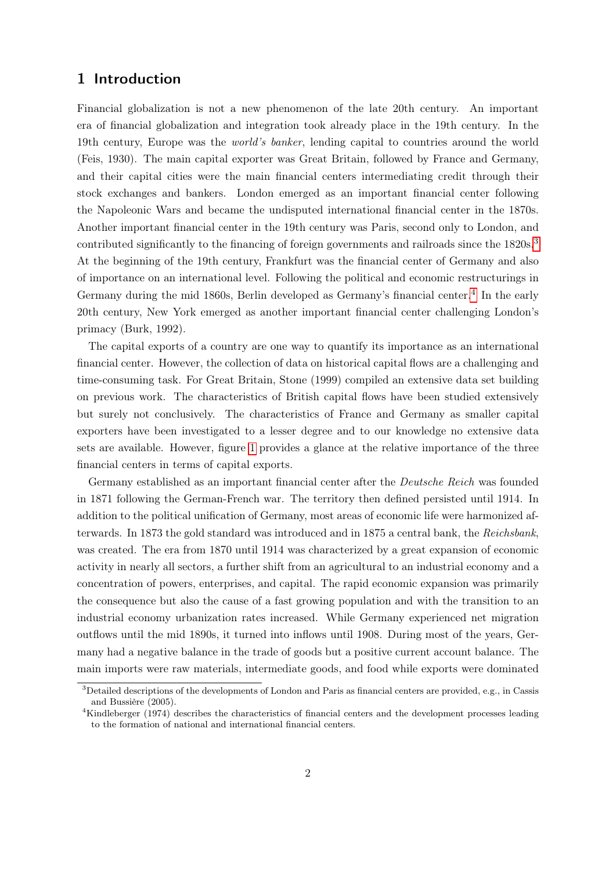# 1 Introduction

Financial globalization is not a new phenomenon of the late 20th century. An important era of financial globalization and integration took already place in the 19th century. In the 19th century, Europe was the world's banker, lending capital to countries around the world (Feis, 1930). The main capital exporter was Great Britain, followed by France and Germany, and their capital cities were the main financial centers intermediating credit through their stock exchanges and bankers. London emerged as an important financial center following the Napoleonic Wars and became the undisputed international financial center in the 1870s. Another important financial center in the 19th century was Paris, second only to London, and contributed significantly to the financing of foreign governments and railroads since the 1820s.<sup>[3](#page-1-0)</sup> At the beginning of the 19th century, Frankfurt was the financial center of Germany and also of importance on an international level. Following the political and economic restructurings in Germany during the mid 1860s, Berlin developed as Germany's financial center.<sup>[4](#page-1-1)</sup> In the early 20th century, New York emerged as another important financial center challenging London's primacy (Burk, 1992).

The capital exports of a country are one way to quantify its importance as an international financial center. However, the collection of data on historical capital flows are a challenging and time-consuming task. For Great Britain, Stone (1999) compiled an extensive data set building on previous work. The characteristics of British capital flows have been studied extensively but surely not conclusively. The characteristics of France and Germany as smaller capital exporters have been investigated to a lesser degree and to our knowledge no extensive data sets are available. However, figure [1](#page-23-0) provides a glance at the relative importance of the three financial centers in terms of capital exports.

Germany established as an important financial center after the Deutsche Reich was founded in 1871 following the German-French war. The territory then defined persisted until 1914. In addition to the political unification of Germany, most areas of economic life were harmonized afterwards. In 1873 the gold standard was introduced and in 1875 a central bank, the Reichsbank, was created. The era from 1870 until 1914 was characterized by a great expansion of economic activity in nearly all sectors, a further shift from an agricultural to an industrial economy and a concentration of powers, enterprises, and capital. The rapid economic expansion was primarily the consequence but also the cause of a fast growing population and with the transition to an industrial economy urbanization rates increased. While Germany experienced net migration outflows until the mid 1890s, it turned into inflows until 1908. During most of the years, Germany had a negative balance in the trade of goods but a positive current account balance. The main imports were raw materials, intermediate goods, and food while exports were dominated

<span id="page-1-0"></span><sup>3</sup>Detailed descriptions of the developments of London and Paris as financial centers are provided, e.g., in Cassis and Bussière (2005).

<span id="page-1-1"></span><sup>4</sup>Kindleberger (1974) describes the characteristics of financial centers and the development processes leading to the formation of national and international financial centers.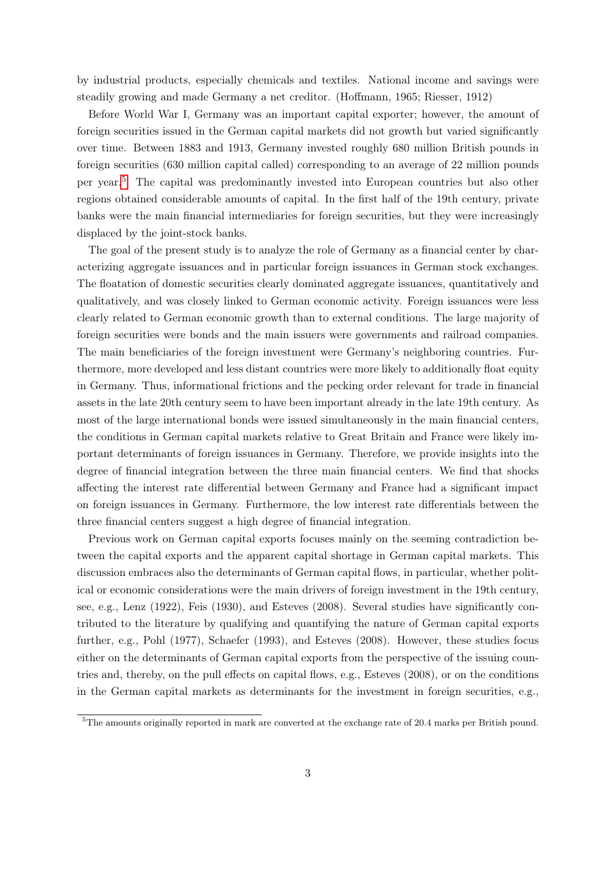by industrial products, especially chemicals and textiles. National income and savings were steadily growing and made Germany a net creditor. (Hoffmann, 1965; Riesser, 1912)

Before World War I, Germany was an important capital exporter; however, the amount of foreign securities issued in the German capital markets did not growth but varied significantly over time. Between 1883 and 1913, Germany invested roughly 680 million British pounds in foreign securities (630 million capital called) corresponding to an average of 22 million pounds per year.[5](#page-2-0) The capital was predominantly invested into European countries but also other regions obtained considerable amounts of capital. In the first half of the 19th century, private banks were the main financial intermediaries for foreign securities, but they were increasingly displaced by the joint-stock banks.

The goal of the present study is to analyze the role of Germany as a financial center by characterizing aggregate issuances and in particular foreign issuances in German stock exchanges. The floatation of domestic securities clearly dominated aggregate issuances, quantitatively and qualitatively, and was closely linked to German economic activity. Foreign issuances were less clearly related to German economic growth than to external conditions. The large majority of foreign securities were bonds and the main issuers were governments and railroad companies. The main beneficiaries of the foreign investment were Germany's neighboring countries. Furthermore, more developed and less distant countries were more likely to additionally float equity in Germany. Thus, informational frictions and the pecking order relevant for trade in financial assets in the late 20th century seem to have been important already in the late 19th century. As most of the large international bonds were issued simultaneously in the main financial centers, the conditions in German capital markets relative to Great Britain and France were likely important determinants of foreign issuances in Germany. Therefore, we provide insights into the degree of financial integration between the three main financial centers. We find that shocks affecting the interest rate differential between Germany and France had a significant impact on foreign issuances in Germany. Furthermore, the low interest rate differentials between the three financial centers suggest a high degree of financial integration.

Previous work on German capital exports focuses mainly on the seeming contradiction between the capital exports and the apparent capital shortage in German capital markets. This discussion embraces also the determinants of German capital flows, in particular, whether political or economic considerations were the main drivers of foreign investment in the 19th century, see, e.g., Lenz (1922), Feis (1930), and Esteves (2008). Several studies have significantly contributed to the literature by qualifying and quantifying the nature of German capital exports further, e.g., Pohl (1977), Schaefer (1993), and Esteves (2008). However, these studies focus either on the determinants of German capital exports from the perspective of the issuing countries and, thereby, on the pull effects on capital flows, e.g., Esteves (2008), or on the conditions in the German capital markets as determinants for the investment in foreign securities, e.g.,

<span id="page-2-0"></span> $5$ The amounts originally reported in mark are converted at the exchange rate of 20.4 marks per British pound.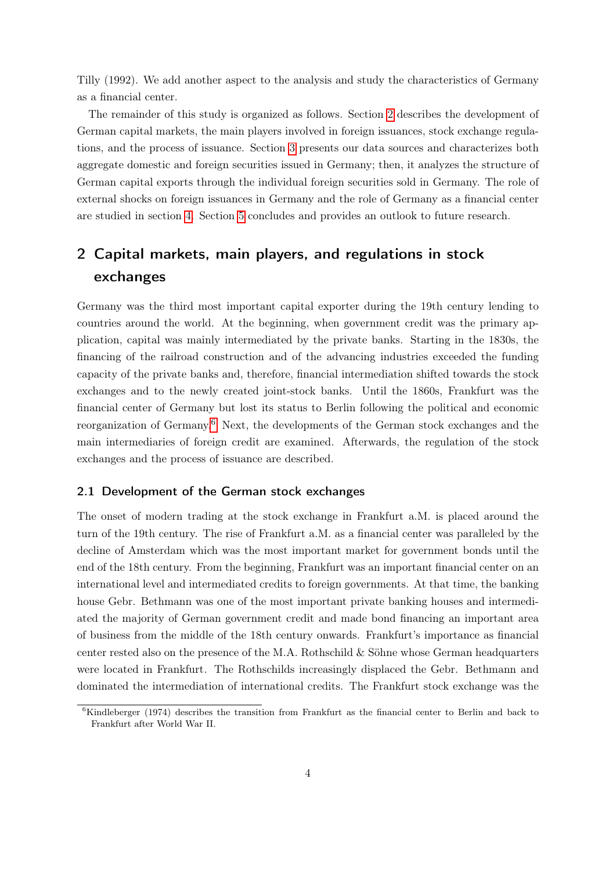Tilly (1992). We add another aspect to the analysis and study the characteristics of Germany as a financial center.

The remainder of this study is organized as follows. Section [2](#page-3-0) describes the development of German capital markets, the main players involved in foreign issuances, stock exchange regulations, and the process of issuance. Section [3](#page-9-0) presents our data sources and characterizes both aggregate domestic and foreign securities issued in Germany; then, it analyzes the structure of German capital exports through the individual foreign securities sold in Germany. The role of external shocks on foreign issuances in Germany and the role of Germany as a financial center are studied in section [4.](#page-15-0) Section [5](#page-19-0) concludes and provides an outlook to future research.

# <span id="page-3-0"></span>2 Capital markets, main players, and regulations in stock exchanges

Germany was the third most important capital exporter during the 19th century lending to countries around the world. At the beginning, when government credit was the primary application, capital was mainly intermediated by the private banks. Starting in the 1830s, the financing of the railroad construction and of the advancing industries exceeded the funding capacity of the private banks and, therefore, financial intermediation shifted towards the stock exchanges and to the newly created joint-stock banks. Until the 1860s, Frankfurt was the financial center of Germany but lost its status to Berlin following the political and economic reorganization of Germany.[6](#page-3-1) Next, the developments of the German stock exchanges and the main intermediaries of foreign credit are examined. Afterwards, the regulation of the stock exchanges and the process of issuance are described.

### 2.1 Development of the German stock exchanges

The onset of modern trading at the stock exchange in Frankfurt a.M. is placed around the turn of the 19th century. The rise of Frankfurt a.M. as a financial center was paralleled by the decline of Amsterdam which was the most important market for government bonds until the end of the 18th century. From the beginning, Frankfurt was an important financial center on an international level and intermediated credits to foreign governments. At that time, the banking house Gebr. Bethmann was one of the most important private banking houses and intermediated the majority of German government credit and made bond financing an important area of business from the middle of the 18th century onwards. Frankfurt's importance as financial center rested also on the presence of the M.A. Rothschild & Söhne whose German headquarters were located in Frankfurt. The Rothschilds increasingly displaced the Gebr. Bethmann and dominated the intermediation of international credits. The Frankfurt stock exchange was the

<span id="page-3-1"></span> ${}^{6}$ Kindleberger (1974) describes the transition from Frankfurt as the financial center to Berlin and back to Frankfurt after World War II.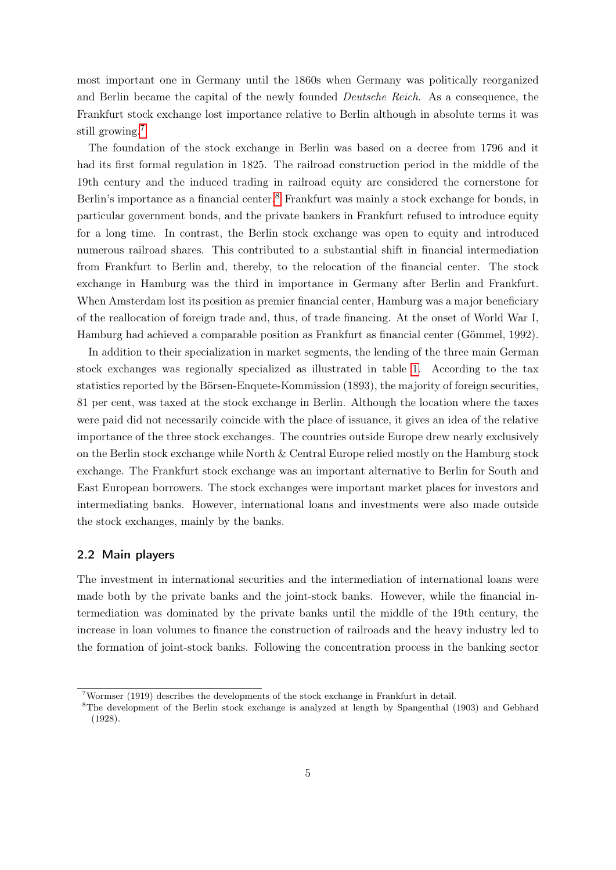most important one in Germany until the 1860s when Germany was politically reorganized and Berlin became the capital of the newly founded Deutsche Reich. As a consequence, the Frankfurt stock exchange lost importance relative to Berlin although in absolute terms it was still growing.<sup>[7](#page-4-0)</sup>

The foundation of the stock exchange in Berlin was based on a decree from 1796 and it had its first formal regulation in 1825. The railroad construction period in the middle of the 19th century and the induced trading in railroad equity are considered the cornerstone for Berlin's importance as a financial center.<sup>[8](#page-4-1)</sup> Frankfurt was mainly a stock exchange for bonds, in particular government bonds, and the private bankers in Frankfurt refused to introduce equity for a long time. In contrast, the Berlin stock exchange was open to equity and introduced numerous railroad shares. This contributed to a substantial shift in financial intermediation from Frankfurt to Berlin and, thereby, to the relocation of the financial center. The stock exchange in Hamburg was the third in importance in Germany after Berlin and Frankfurt. When Amsterdam lost its position as premier financial center, Hamburg was a major beneficiary of the reallocation of foreign trade and, thus, of trade financing. At the onset of World War I, Hamburg had achieved a comparable position as Frankfurt as financial center (Gömmel, 1992).

In addition to their specialization in market segments, the lending of the three main German stock exchanges was regionally specialized as illustrated in table [1.](#page-24-0) According to the tax statistics reported by the Börsen-Enquete-Kommission (1893), the majority of foreign securities, 81 per cent, was taxed at the stock exchange in Berlin. Although the location where the taxes were paid did not necessarily coincide with the place of issuance, it gives an idea of the relative importance of the three stock exchanges. The countries outside Europe drew nearly exclusively on the Berlin stock exchange while North & Central Europe relied mostly on the Hamburg stock exchange. The Frankfurt stock exchange was an important alternative to Berlin for South and East European borrowers. The stock exchanges were important market places for investors and intermediating banks. However, international loans and investments were also made outside the stock exchanges, mainly by the banks.

### 2.2 Main players

The investment in international securities and the intermediation of international loans were made both by the private banks and the joint-stock banks. However, while the financial intermediation was dominated by the private banks until the middle of the 19th century, the increase in loan volumes to finance the construction of railroads and the heavy industry led to the formation of joint-stock banks. Following the concentration process in the banking sector

<span id="page-4-0"></span><sup>7</sup>Wormser (1919) describes the developments of the stock exchange in Frankfurt in detail.

<span id="page-4-1"></span><sup>8</sup>The development of the Berlin stock exchange is analyzed at length by Spangenthal (1903) and Gebhard (1928).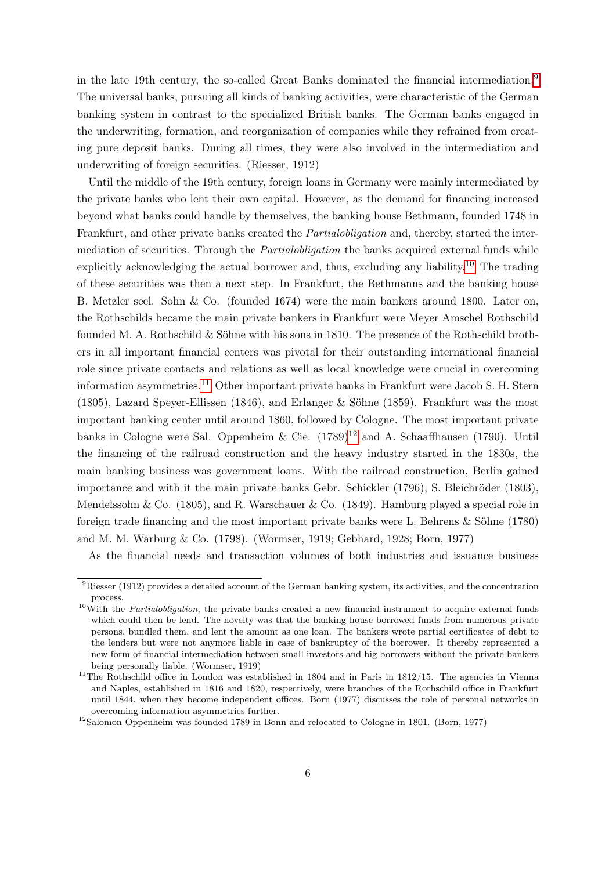in the late 19th century, the so-called Great Banks dominated the financial intermediation.[9](#page-5-0) The universal banks, pursuing all kinds of banking activities, were characteristic of the German banking system in contrast to the specialized British banks. The German banks engaged in the underwriting, formation, and reorganization of companies while they refrained from creating pure deposit banks. During all times, they were also involved in the intermediation and underwriting of foreign securities. (Riesser, 1912)

Until the middle of the 19th century, foreign loans in Germany were mainly intermediated by the private banks who lent their own capital. However, as the demand for financing increased beyond what banks could handle by themselves, the banking house Bethmann, founded 1748 in Frankfurt, and other private banks created the Partialobligation and, thereby, started the intermediation of securities. Through the *Partialobligation* the banks acquired external funds while explicitly acknowledging the actual borrower and, thus, excluding any liability.<sup>[10](#page-5-1)</sup> The trading of these securities was then a next step. In Frankfurt, the Bethmanns and the banking house B. Metzler seel. Sohn & Co. (founded 1674) were the main bankers around 1800. Later on, the Rothschilds became the main private bankers in Frankfurt were Meyer Amschel Rothschild founded M. A. Rothschild & Söhne with his sons in 1810. The presence of the Rothschild brothers in all important financial centers was pivotal for their outstanding international financial role since private contacts and relations as well as local knowledge were crucial in overcoming information asymmetries.<sup>[11](#page-5-2)</sup> Other important private banks in Frankfurt were Jacob S. H. Stern (1805), Lazard Speyer-Ellissen (1846), and Erlanger & Söhne (1859). Frankfurt was the most important banking center until around 1860, followed by Cologne. The most important private banks in Cologne were Sal. Oppenheim & Cie.  $(1789)^{12}$  $(1789)^{12}$  $(1789)^{12}$  and A. Schaaffhausen (1790). Until the financing of the railroad construction and the heavy industry started in the 1830s, the main banking business was government loans. With the railroad construction, Berlin gained importance and with it the main private banks Gebr. Schickler (1796), S. Bleichröder (1803), Mendelssohn  $\&$  Co. (1805), and R. Warschauer  $\&$  Co. (1849). Hamburg played a special role in foreign trade financing and the most important private banks were L. Behrens & Söhne (1780) and M. M. Warburg & Co. (1798). (Wormser, 1919; Gebhard, 1928; Born, 1977)

As the financial needs and transaction volumes of both industries and issuance business

<span id="page-5-0"></span><sup>&</sup>lt;sup>9</sup>Riesser (1912) provides a detailed account of the German banking system, its activities, and the concentration process.

<span id="page-5-1"></span> $10$ With the *Partialobligation*, the private banks created a new financial instrument to acquire external funds which could then be lend. The novelty was that the banking house borrowed funds from numerous private persons, bundled them, and lent the amount as one loan. The bankers wrote partial certificates of debt to the lenders but were not anymore liable in case of bankruptcy of the borrower. It thereby represented a new form of financial intermediation between small investors and big borrowers without the private bankers being personally liable. (Wormser, 1919)

<span id="page-5-2"></span><sup>&</sup>lt;sup>11</sup>The Rothschild office in London was established in 1804 and in Paris in 1812/15. The agencies in Vienna and Naples, established in 1816 and 1820, respectively, were branches of the Rothschild office in Frankfurt until 1844, when they become independent offices. Born (1977) discusses the role of personal networks in overcoming information asymmetries further.

<span id="page-5-3"></span><sup>&</sup>lt;sup>12</sup>Salomon Oppenheim was founded 1789 in Bonn and relocated to Cologne in 1801. (Born, 1977)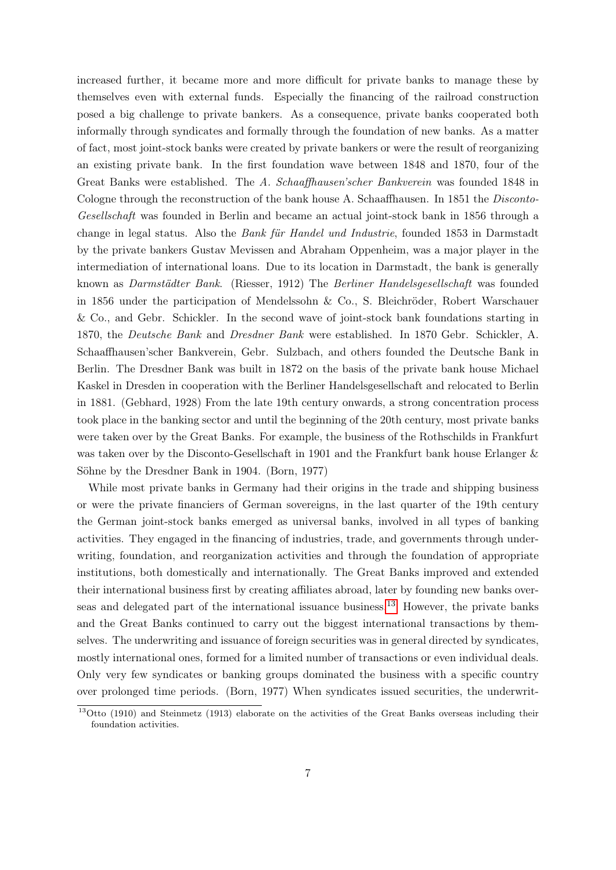increased further, it became more and more difficult for private banks to manage these by themselves even with external funds. Especially the financing of the railroad construction posed a big challenge to private bankers. As a consequence, private banks cooperated both informally through syndicates and formally through the foundation of new banks. As a matter of fact, most joint-stock banks were created by private bankers or were the result of reorganizing an existing private bank. In the first foundation wave between 1848 and 1870, four of the Great Banks were established. The A. Schaaffhausen'scher Bankverein was founded 1848 in Cologne through the reconstruction of the bank house A. Schaaffhausen. In 1851 the *Disconto-*Gesellschaft was founded in Berlin and became an actual joint-stock bank in 1856 through a change in legal status. Also the Bank für Handel und Industrie, founded 1853 in Darmstadt by the private bankers Gustav Mevissen and Abraham Oppenheim, was a major player in the intermediation of international loans. Due to its location in Darmstadt, the bank is generally known as Darmstädter Bank. (Riesser, 1912) The Berliner Handelsgesellschaft was founded in 1856 under the participation of Mendelssohn & Co., S. Bleichröder, Robert Warschauer & Co., and Gebr. Schickler. In the second wave of joint-stock bank foundations starting in 1870, the Deutsche Bank and Dresdner Bank were established. In 1870 Gebr. Schickler, A. Schaaffhausen'scher Bankverein, Gebr. Sulzbach, and others founded the Deutsche Bank in Berlin. The Dresdner Bank was built in 1872 on the basis of the private bank house Michael Kaskel in Dresden in cooperation with the Berliner Handelsgesellschaft and relocated to Berlin in 1881. (Gebhard, 1928) From the late 19th century onwards, a strong concentration process took place in the banking sector and until the beginning of the 20th century, most private banks were taken over by the Great Banks. For example, the business of the Rothschilds in Frankfurt was taken over by the Disconto-Gesellschaft in 1901 and the Frankfurt bank house Erlanger & Söhne by the Dresdner Bank in 1904. (Born, 1977)

While most private banks in Germany had their origins in the trade and shipping business or were the private financiers of German sovereigns, in the last quarter of the 19th century the German joint-stock banks emerged as universal banks, involved in all types of banking activities. They engaged in the financing of industries, trade, and governments through underwriting, foundation, and reorganization activities and through the foundation of appropriate institutions, both domestically and internationally. The Great Banks improved and extended their international business first by creating affiliates abroad, later by founding new banks overseas and delegated part of the international issuance business.[13](#page-6-0) However, the private banks and the Great Banks continued to carry out the biggest international transactions by themselves. The underwriting and issuance of foreign securities was in general directed by syndicates, mostly international ones, formed for a limited number of transactions or even individual deals. Only very few syndicates or banking groups dominated the business with a specific country over prolonged time periods. (Born, 1977) When syndicates issued securities, the underwrit-

<span id="page-6-0"></span><sup>&</sup>lt;sup>13</sup>Otto (1910) and Steinmetz (1913) elaborate on the activities of the Great Banks overseas including their foundation activities.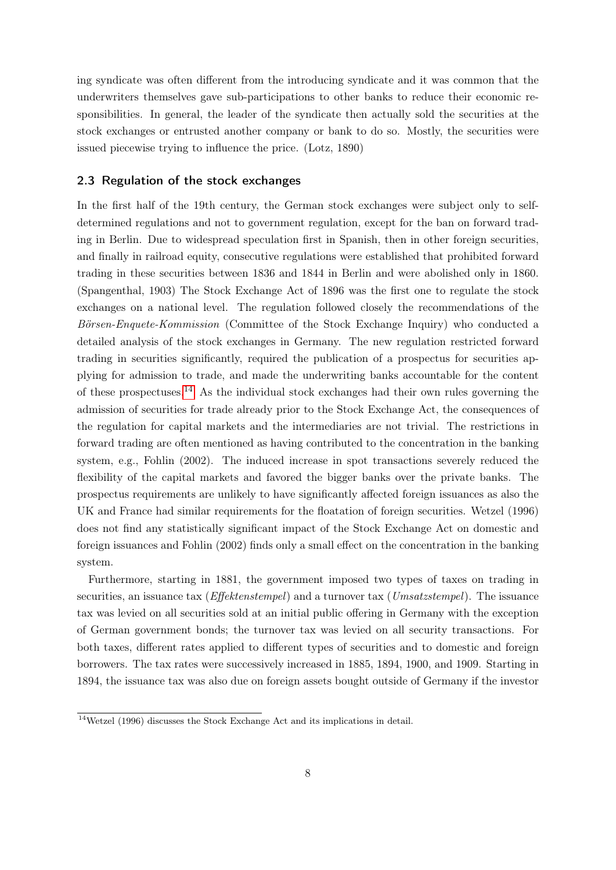ing syndicate was often different from the introducing syndicate and it was common that the underwriters themselves gave sub-participations to other banks to reduce their economic responsibilities. In general, the leader of the syndicate then actually sold the securities at the stock exchanges or entrusted another company or bank to do so. Mostly, the securities were issued piecewise trying to influence the price. (Lotz, 1890)

### 2.3 Regulation of the stock exchanges

In the first half of the 19th century, the German stock exchanges were subject only to selfdetermined regulations and not to government regulation, except for the ban on forward trading in Berlin. Due to widespread speculation first in Spanish, then in other foreign securities, and finally in railroad equity, consecutive regulations were established that prohibited forward trading in these securities between 1836 and 1844 in Berlin and were abolished only in 1860. (Spangenthal, 1903) The Stock Exchange Act of 1896 was the first one to regulate the stock exchanges on a national level. The regulation followed closely the recommendations of the Börsen-Enquete-Kommission (Committee of the Stock Exchange Inquiry) who conducted a detailed analysis of the stock exchanges in Germany. The new regulation restricted forward trading in securities significantly, required the publication of a prospectus for securities applying for admission to trade, and made the underwriting banks accountable for the content of these prospectuses.<sup>[14](#page-7-0)</sup> As the individual stock exchanges had their own rules governing the admission of securities for trade already prior to the Stock Exchange Act, the consequences of the regulation for capital markets and the intermediaries are not trivial. The restrictions in forward trading are often mentioned as having contributed to the concentration in the banking system, e.g., Fohlin (2002). The induced increase in spot transactions severely reduced the flexibility of the capital markets and favored the bigger banks over the private banks. The prospectus requirements are unlikely to have significantly affected foreign issuances as also the UK and France had similar requirements for the floatation of foreign securities. Wetzel (1996) does not find any statistically significant impact of the Stock Exchange Act on domestic and foreign issuances and Fohlin (2002) finds only a small effect on the concentration in the banking system.

Furthermore, starting in 1881, the government imposed two types of taxes on trading in securities, an issuance tax ( $Effektenstempel$ ) and a turnover tax (Umsatzstempel). The issuance tax was levied on all securities sold at an initial public offering in Germany with the exception of German government bonds; the turnover tax was levied on all security transactions. For both taxes, different rates applied to different types of securities and to domestic and foreign borrowers. The tax rates were successively increased in 1885, 1894, 1900, and 1909. Starting in 1894, the issuance tax was also due on foreign assets bought outside of Germany if the investor

<span id="page-7-0"></span> $14$ Wetzel (1996) discusses the Stock Exchange Act and its implications in detail.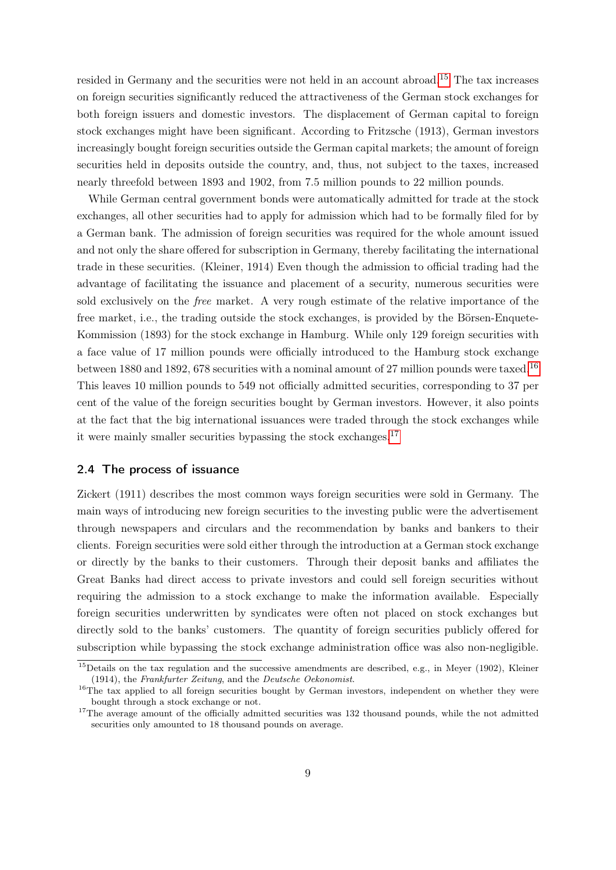resided in Germany and the securities were not held in an account abroad.[15](#page-8-0) The tax increases on foreign securities significantly reduced the attractiveness of the German stock exchanges for both foreign issuers and domestic investors. The displacement of German capital to foreign stock exchanges might have been significant. According to Fritzsche (1913), German investors increasingly bought foreign securities outside the German capital markets; the amount of foreign securities held in deposits outside the country, and, thus, not subject to the taxes, increased nearly threefold between 1893 and 1902, from 7.5 million pounds to 22 million pounds.

While German central government bonds were automatically admitted for trade at the stock exchanges, all other securities had to apply for admission which had to be formally filed for by a German bank. The admission of foreign securities was required for the whole amount issued and not only the share offered for subscription in Germany, thereby facilitating the international trade in these securities. (Kleiner, 1914) Even though the admission to official trading had the advantage of facilitating the issuance and placement of a security, numerous securities were sold exclusively on the free market. A very rough estimate of the relative importance of the free market, i.e., the trading outside the stock exchanges, is provided by the Börsen-Enquete-Kommission (1893) for the stock exchange in Hamburg. While only 129 foreign securities with a face value of 17 million pounds were officially introduced to the Hamburg stock exchange between 1880 and 1892, 678 securities with a nominal amount of 27 million pounds were taxed.<sup>[16](#page-8-1)</sup> This leaves 10 million pounds to 549 not officially admitted securities, corresponding to 37 per cent of the value of the foreign securities bought by German investors. However, it also points at the fact that the big international issuances were traded through the stock exchanges while it were mainly smaller securities bypassing the stock exchanges.[17](#page-8-2)

## 2.4 The process of issuance

Zickert (1911) describes the most common ways foreign securities were sold in Germany. The main ways of introducing new foreign securities to the investing public were the advertisement through newspapers and circulars and the recommendation by banks and bankers to their clients. Foreign securities were sold either through the introduction at a German stock exchange or directly by the banks to their customers. Through their deposit banks and affiliates the Great Banks had direct access to private investors and could sell foreign securities without requiring the admission to a stock exchange to make the information available. Especially foreign securities underwritten by syndicates were often not placed on stock exchanges but directly sold to the banks' customers. The quantity of foreign securities publicly offered for subscription while bypassing the stock exchange administration office was also non-negligible.

<span id="page-8-0"></span><sup>&</sup>lt;sup>15</sup>Details on the tax regulation and the successive amendments are described, e.g., in Meyer (1902), Kleiner (1914), the Frankfurter Zeitung, and the Deutsche Oekonomist.

<span id="page-8-1"></span><sup>&</sup>lt;sup>16</sup>The tax applied to all foreign securities bought by German investors, independent on whether they were bought through a stock exchange or not.

<span id="page-8-2"></span><sup>&</sup>lt;sup>17</sup>The average amount of the officially admitted securities was  $132$  thousand pounds, while the not admitted securities only amounted to 18 thousand pounds on average.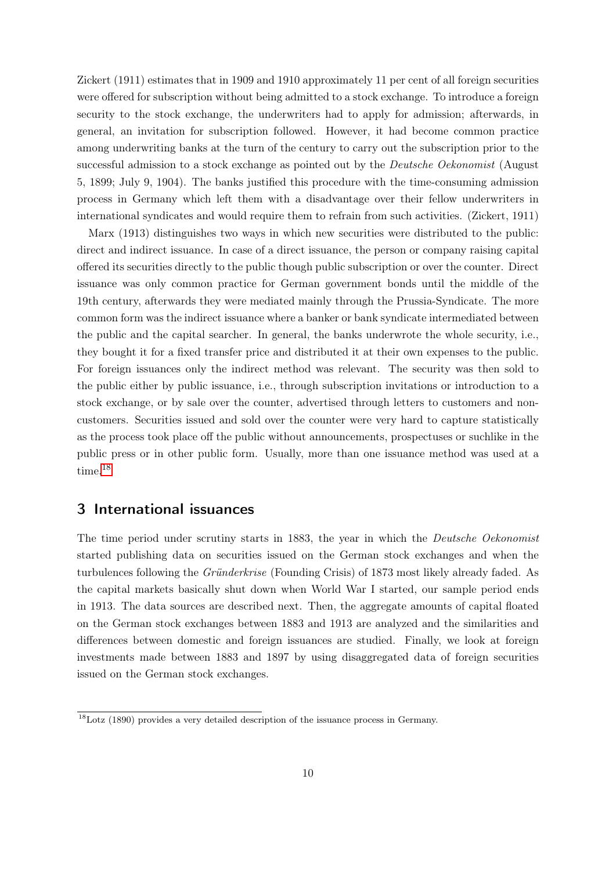Zickert (1911) estimates that in 1909 and 1910 approximately 11 per cent of all foreign securities were offered for subscription without being admitted to a stock exchange. To introduce a foreign security to the stock exchange, the underwriters had to apply for admission; afterwards, in general, an invitation for subscription followed. However, it had become common practice among underwriting banks at the turn of the century to carry out the subscription prior to the successful admission to a stock exchange as pointed out by the *Deutsche Oekonomist* (August 5, 1899; July 9, 1904). The banks justified this procedure with the time-consuming admission process in Germany which left them with a disadvantage over their fellow underwriters in international syndicates and would require them to refrain from such activities. (Zickert, 1911)

Marx (1913) distinguishes two ways in which new securities were distributed to the public: direct and indirect issuance. In case of a direct issuance, the person or company raising capital offered its securities directly to the public though public subscription or over the counter. Direct issuance was only common practice for German government bonds until the middle of the 19th century, afterwards they were mediated mainly through the Prussia-Syndicate. The more common form was the indirect issuance where a banker or bank syndicate intermediated between the public and the capital searcher. In general, the banks underwrote the whole security, i.e., they bought it for a fixed transfer price and distributed it at their own expenses to the public. For foreign issuances only the indirect method was relevant. The security was then sold to the public either by public issuance, i.e., through subscription invitations or introduction to a stock exchange, or by sale over the counter, advertised through letters to customers and noncustomers. Securities issued and sold over the counter were very hard to capture statistically as the process took place off the public without announcements, prospectuses or suchlike in the public press or in other public form. Usually, more than one issuance method was used at a time.[18](#page-9-1)

# <span id="page-9-0"></span>3 International issuances

The time period under scrutiny starts in 1883, the year in which the *Deutsche Oekonomist* started publishing data on securities issued on the German stock exchanges and when the turbulences following the Gründerkrise (Founding Crisis) of 1873 most likely already faded. As the capital markets basically shut down when World War I started, our sample period ends in 1913. The data sources are described next. Then, the aggregate amounts of capital floated on the German stock exchanges between 1883 and 1913 are analyzed and the similarities and differences between domestic and foreign issuances are studied. Finally, we look at foreign investments made between 1883 and 1897 by using disaggregated data of foreign securities issued on the German stock exchanges.

<span id="page-9-1"></span> $18$ Lotz (1890) provides a very detailed description of the issuance process in Germany.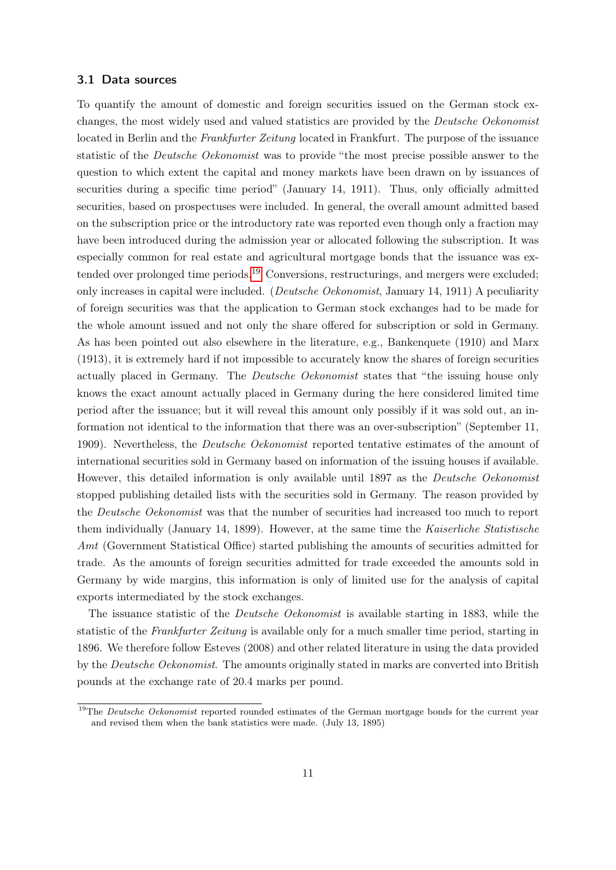### 3.1 Data sources

To quantify the amount of domestic and foreign securities issued on the German stock exchanges, the most widely used and valued statistics are provided by the Deutsche Oekonomist located in Berlin and the Frankfurter Zeitung located in Frankfurt. The purpose of the issuance statistic of the Deutsche Oekonomist was to provide "the most precise possible answer to the question to which extent the capital and money markets have been drawn on by issuances of securities during a specific time period" (January 14, 1911). Thus, only officially admitted securities, based on prospectuses were included. In general, the overall amount admitted based on the subscription price or the introductory rate was reported even though only a fraction may have been introduced during the admission year or allocated following the subscription. It was especially common for real estate and agricultural mortgage bonds that the issuance was ex-tended over prolonged time periods.<sup>[19](#page-10-0)</sup> Conversions, restructurings, and mergers were excluded; only increases in capital were included. (Deutsche Oekonomist, January 14, 1911) A peculiarity of foreign securities was that the application to German stock exchanges had to be made for the whole amount issued and not only the share offered for subscription or sold in Germany. As has been pointed out also elsewhere in the literature, e.g., Bankenquete (1910) and Marx (1913), it is extremely hard if not impossible to accurately know the shares of foreign securities actually placed in Germany. The Deutsche Oekonomist states that "the issuing house only knows the exact amount actually placed in Germany during the here considered limited time period after the issuance; but it will reveal this amount only possibly if it was sold out, an information not identical to the information that there was an over-subscription" (September 11, 1909). Nevertheless, the Deutsche Oekonomist reported tentative estimates of the amount of international securities sold in Germany based on information of the issuing houses if available. However, this detailed information is only available until 1897 as the *Deutsche Oekonomist* stopped publishing detailed lists with the securities sold in Germany. The reason provided by the Deutsche Oekonomist was that the number of securities had increased too much to report them individually (January 14, 1899). However, at the same time the Kaiserliche Statistische Amt (Government Statistical Office) started publishing the amounts of securities admitted for trade. As the amounts of foreign securities admitted for trade exceeded the amounts sold in Germany by wide margins, this information is only of limited use for the analysis of capital exports intermediated by the stock exchanges.

The issuance statistic of the *Deutsche Oekonomist* is available starting in 1883, while the statistic of the Frankfurter Zeitung is available only for a much smaller time period, starting in 1896. We therefore follow Esteves (2008) and other related literature in using the data provided by the Deutsche Oekonomist. The amounts originally stated in marks are converted into British pounds at the exchange rate of 20.4 marks per pound.

<span id="page-10-0"></span><sup>&</sup>lt;sup>19</sup>The *Deutsche Oekonomist* reported rounded estimates of the German mortgage bonds for the current year and revised them when the bank statistics were made. (July 13, 1895)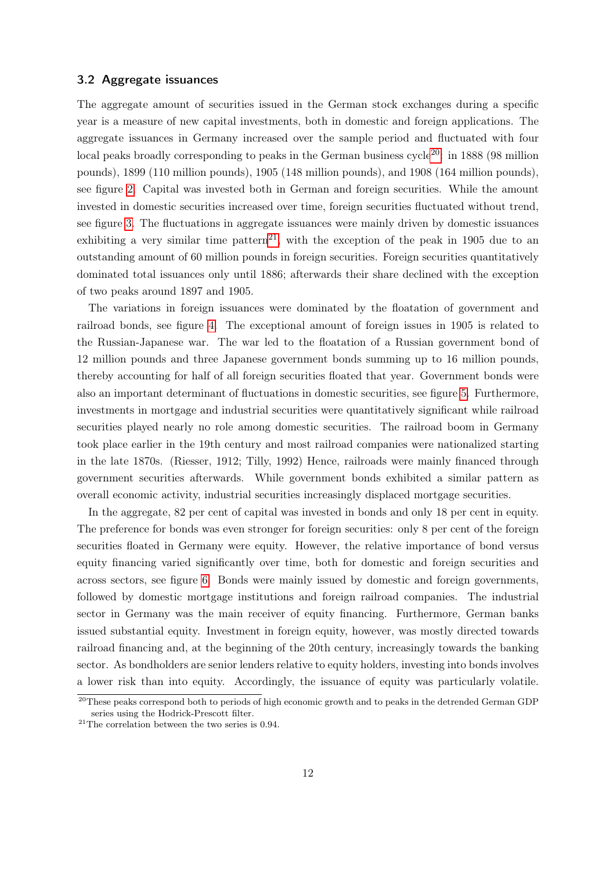#### 3.2 Aggregate issuances

The aggregate amount of securities issued in the German stock exchanges during a specific year is a measure of new capital investments, both in domestic and foreign applications. The aggregate issuances in Germany increased over the sample period and fluctuated with four local peaks broadly corresponding to peaks in the German business cycle<sup>[20](#page-11-0)</sup>: in 1888 (98 million pounds), 1899 (110 million pounds), 1905 (148 million pounds), and 1908 (164 million pounds), see figure [2.](#page-25-0) Capital was invested both in German and foreign securities. While the amount invested in domestic securities increased over time, foreign securities fluctuated without trend, see figure [3.](#page-25-1) The fluctuations in aggregate issuances were mainly driven by domestic issuances exhibiting a very similar time pattern<sup>[21](#page-11-1)</sup>, with the exception of the peak in 1905 due to an outstanding amount of 60 million pounds in foreign securities. Foreign securities quantitatively dominated total issuances only until 1886; afterwards their share declined with the exception of two peaks around 1897 and 1905.

The variations in foreign issuances were dominated by the floatation of government and railroad bonds, see figure [4.](#page-26-0) The exceptional amount of foreign issues in 1905 is related to the Russian-Japanese war. The war led to the floatation of a Russian government bond of 12 million pounds and three Japanese government bonds summing up to 16 million pounds, thereby accounting for half of all foreign securities floated that year. Government bonds were also an important determinant of fluctuations in domestic securities, see figure [5.](#page-26-1) Furthermore, investments in mortgage and industrial securities were quantitatively significant while railroad securities played nearly no role among domestic securities. The railroad boom in Germany took place earlier in the 19th century and most railroad companies were nationalized starting in the late 1870s. (Riesser, 1912; Tilly, 1992) Hence, railroads were mainly financed through government securities afterwards. While government bonds exhibited a similar pattern as overall economic activity, industrial securities increasingly displaced mortgage securities.

In the aggregate, 82 per cent of capital was invested in bonds and only 18 per cent in equity. The preference for bonds was even stronger for foreign securities: only 8 per cent of the foreign securities floated in Germany were equity. However, the relative importance of bond versus equity financing varied significantly over time, both for domestic and foreign securities and across sectors, see figure [6.](#page-27-0) Bonds were mainly issued by domestic and foreign governments, followed by domestic mortgage institutions and foreign railroad companies. The industrial sector in Germany was the main receiver of equity financing. Furthermore, German banks issued substantial equity. Investment in foreign equity, however, was mostly directed towards railroad financing and, at the beginning of the 20th century, increasingly towards the banking sector. As bondholders are senior lenders relative to equity holders, investing into bonds involves a lower risk than into equity. Accordingly, the issuance of equity was particularly volatile.

<span id="page-11-0"></span><sup>&</sup>lt;sup>20</sup>These peaks correspond both to periods of high economic growth and to peaks in the detrended German GDP series using the Hodrick-Prescott filter.

<span id="page-11-1"></span> $21$ The correlation between the two series is 0.94.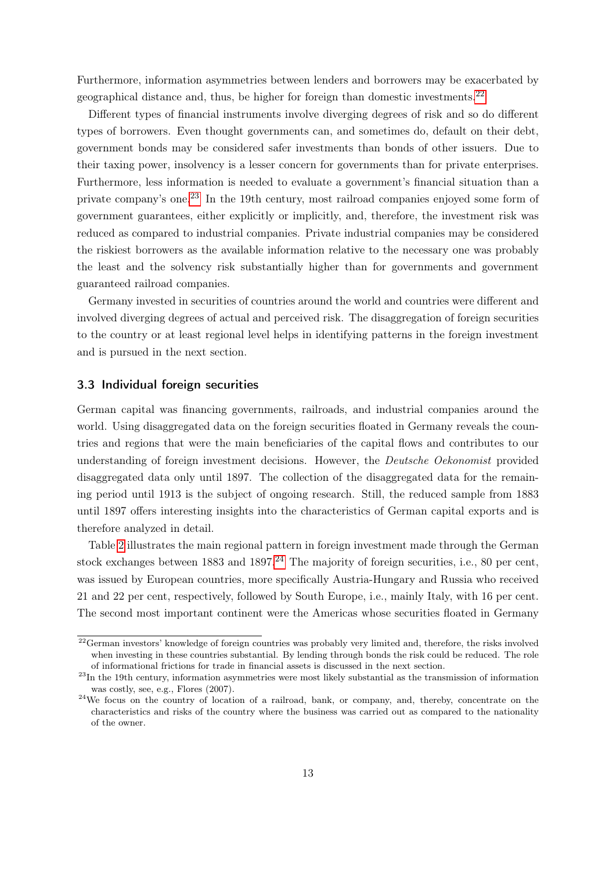Furthermore, information asymmetries between lenders and borrowers may be exacerbated by geographical distance and, thus, be higher for foreign than domestic investments.[22](#page-12-0)

Different types of financial instruments involve diverging degrees of risk and so do different types of borrowers. Even thought governments can, and sometimes do, default on their debt, government bonds may be considered safer investments than bonds of other issuers. Due to their taxing power, insolvency is a lesser concern for governments than for private enterprises. Furthermore, less information is needed to evaluate a government's financial situation than a private company's one.[23](#page-12-1) In the 19th century, most railroad companies enjoyed some form of government guarantees, either explicitly or implicitly, and, therefore, the investment risk was reduced as compared to industrial companies. Private industrial companies may be considered the riskiest borrowers as the available information relative to the necessary one was probably the least and the solvency risk substantially higher than for governments and government guaranteed railroad companies.

Germany invested in securities of countries around the world and countries were different and involved diverging degrees of actual and perceived risk. The disaggregation of foreign securities to the country or at least regional level helps in identifying patterns in the foreign investment and is pursued in the next section.

#### 3.3 Individual foreign securities

German capital was financing governments, railroads, and industrial companies around the world. Using disaggregated data on the foreign securities floated in Germany reveals the countries and regions that were the main beneficiaries of the capital flows and contributes to our understanding of foreign investment decisions. However, the Deutsche Oekonomist provided disaggregated data only until 1897. The collection of the disaggregated data for the remaining period until 1913 is the subject of ongoing research. Still, the reduced sample from 1883 until 1897 offers interesting insights into the characteristics of German capital exports and is therefore analyzed in detail.

Table [2](#page-28-0) illustrates the main regional pattern in foreign investment made through the German stock exchanges between 1883 and 1897.<sup>[24](#page-12-2)</sup> The majority of foreign securities, i.e., 80 per cent, was issued by European countries, more specifically Austria-Hungary and Russia who received 21 and 22 per cent, respectively, followed by South Europe, i.e., mainly Italy, with 16 per cent. The second most important continent were the Americas whose securities floated in Germany

<span id="page-12-0"></span> $22$ German investors' knowledge of foreign countries was probably very limited and, therefore, the risks involved when investing in these countries substantial. By lending through bonds the risk could be reduced. The role of informational frictions for trade in financial assets is discussed in the next section.

<span id="page-12-1"></span> $^{23}{\rm In}$  the 19th century, information asymmetries were most likely substantial as the transmission of information was costly, see, e.g., Flores (2007).

<span id="page-12-2"></span><sup>&</sup>lt;sup>24</sup>We focus on the country of location of a railroad, bank, or company, and, thereby, concentrate on the characteristics and risks of the country where the business was carried out as compared to the nationality of the owner.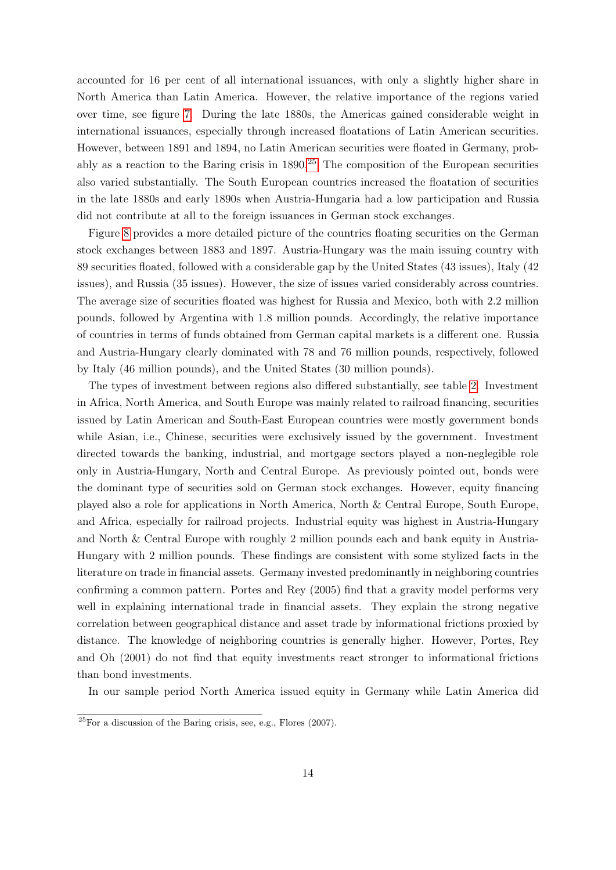accounted for 16 per cent of all international issuances, with only a slightly higher share in North America than Latin America. However, the relative importance of the regions varied over time, see figure [7.](#page-29-0) During the late 1880s, the Americas gained considerable weight in international issuances, especially through increased floatations of Latin American securities. However, between 1891 and 1894, no Latin American securities were floated in Germany, probably as a reaction to the Baring crisis in  $1890<sup>25</sup>$  $1890<sup>25</sup>$  $1890<sup>25</sup>$  The composition of the European securities also varied substantially. The South European countries increased the floatation of securities in the late 1880s and early 1890s when Austria-Hungaria had a low participation and Russia did not contribute at all to the foreign issuances in German stock exchanges.

Figure [8](#page-30-0) provides a more detailed picture of the countries floating securities on the German stock exchanges between 1883 and 1897. Austria-Hungary was the main issuing country with 89 securities floated, followed with a considerable gap by the United States (43 issues), Italy (42 issues), and Russia (35 issues). However, the size of issues varied considerably across countries. The average size of securities floated was highest for Russia and Mexico, both with 2.2 million pounds, followed by Argentina with 1.8 million pounds. Accordingly, the relative importance of countries in terms of funds obtained from German capital markets is a different one. Russia and Austria-Hungary clearly dominated with 78 and 76 million pounds, respectively, followed by Italy (46 million pounds), and the United States (30 million pounds).

The types of investment between regions also differed substantially, see table [2.](#page-28-0) Investment in Africa, North America, and South Europe was mainly related to railroad financing, securities issued by Latin American and South-East European countries were mostly government bonds while Asian, i.e., Chinese, securities were exclusively issued by the government. Investment directed towards the banking, industrial, and mortgage sectors played a non-neglegible role only in Austria-Hungary, North and Central Europe. As previously pointed out, bonds were the dominant type of securities sold on German stock exchanges. However, equity financing played also a role for applications in North America, North & Central Europe, South Europe, and Africa, especially for railroad projects. Industrial equity was highest in Austria-Hungary and North & Central Europe with roughly 2 million pounds each and bank equity in Austria-Hungary with 2 million pounds. These findings are consistent with some stylized facts in the literature on trade in financial assets. Germany invested predominantly in neighboring countries confirming a common pattern. Portes and Rey (2005) find that a gravity model performs very well in explaining international trade in financial assets. They explain the strong negative correlation between geographical distance and asset trade by informational frictions proxied by distance. The knowledge of neighboring countries is generally higher. However, Portes, Rey and Oh (2001) do not find that equity investments react stronger to informational frictions than bond investments.

In our sample period North America issued equity in Germany while Latin America did

<span id="page-13-0"></span> $25$  For a discussion of the Baring crisis, see, e.g., Flores (2007).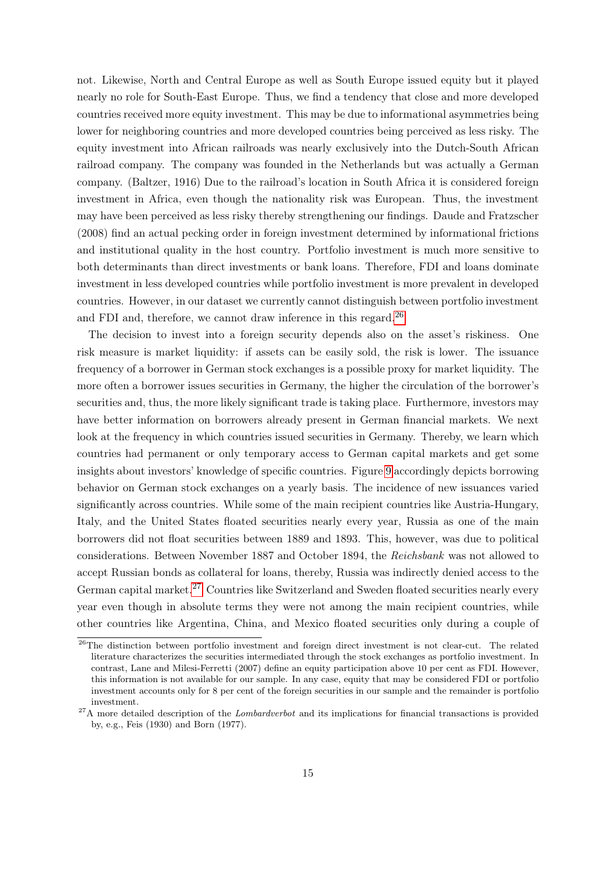not. Likewise, North and Central Europe as well as South Europe issued equity but it played nearly no role for South-East Europe. Thus, we find a tendency that close and more developed countries received more equity investment. This may be due to informational asymmetries being lower for neighboring countries and more developed countries being perceived as less risky. The equity investment into African railroads was nearly exclusively into the Dutch-South African railroad company. The company was founded in the Netherlands but was actually a German company. (Baltzer, 1916) Due to the railroad's location in South Africa it is considered foreign investment in Africa, even though the nationality risk was European. Thus, the investment may have been perceived as less risky thereby strengthening our findings. Daude and Fratzscher (2008) find an actual pecking order in foreign investment determined by informational frictions and institutional quality in the host country. Portfolio investment is much more sensitive to both determinants than direct investments or bank loans. Therefore, FDI and loans dominate investment in less developed countries while portfolio investment is more prevalent in developed countries. However, in our dataset we currently cannot distinguish between portfolio investment and FDI and, therefore, we cannot draw inference in this regard.<sup>[26](#page-14-0)</sup>

The decision to invest into a foreign security depends also on the asset's riskiness. One risk measure is market liquidity: if assets can be easily sold, the risk is lower. The issuance frequency of a borrower in German stock exchanges is a possible proxy for market liquidity. The more often a borrower issues securities in Germany, the higher the circulation of the borrower's securities and, thus, the more likely significant trade is taking place. Furthermore, investors may have better information on borrowers already present in German financial markets. We next look at the frequency in which countries issued securities in Germany. Thereby, we learn which countries had permanent or only temporary access to German capital markets and get some insights about investors' knowledge of specific countries. Figure [9](#page-31-0) accordingly depicts borrowing behavior on German stock exchanges on a yearly basis. The incidence of new issuances varied significantly across countries. While some of the main recipient countries like Austria-Hungary, Italy, and the United States floated securities nearly every year, Russia as one of the main borrowers did not float securities between 1889 and 1893. This, however, was due to political considerations. Between November 1887 and October 1894, the Reichsbank was not allowed to accept Russian bonds as collateral for loans, thereby, Russia was indirectly denied access to the German capital market.<sup>[27](#page-14-1)</sup> Countries like Switzerland and Sweden floated securities nearly every year even though in absolute terms they were not among the main recipient countries, while other countries like Argentina, China, and Mexico floated securities only during a couple of

<span id="page-14-0"></span><sup>&</sup>lt;sup>26</sup>The distinction between portfolio investment and foreign direct investment is not clear-cut. The related literature characterizes the securities intermediated through the stock exchanges as portfolio investment. In contrast, Lane and Milesi-Ferretti (2007) define an equity participation above 10 per cent as FDI. However, this information is not available for our sample. In any case, equity that may be considered FDI or portfolio investment accounts only for 8 per cent of the foreign securities in our sample and the remainder is portfolio investment.

<span id="page-14-1"></span> $27A$  more detailed description of the *Lombardverbot* and its implications for financial transactions is provided by, e.g., Feis (1930) and Born (1977).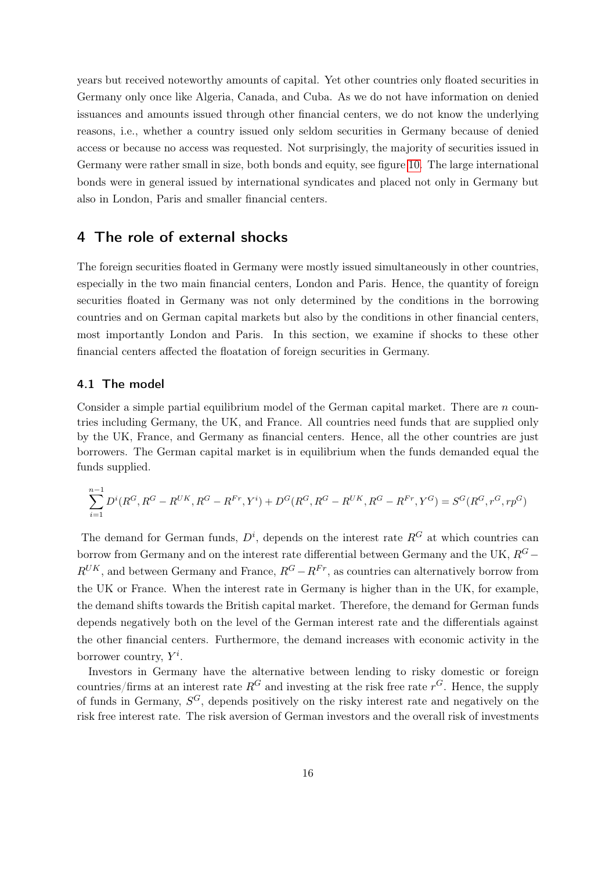years but received noteworthy amounts of capital. Yet other countries only floated securities in Germany only once like Algeria, Canada, and Cuba. As we do not have information on denied issuances and amounts issued through other financial centers, we do not know the underlying reasons, i.e., whether a country issued only seldom securities in Germany because of denied access or because no access was requested. Not surprisingly, the majority of securities issued in Germany were rather small in size, both bonds and equity, see figure [10.](#page-32-0) The large international bonds were in general issued by international syndicates and placed not only in Germany but also in London, Paris and smaller financial centers.

# <span id="page-15-0"></span>4 The role of external shocks

The foreign securities floated in Germany were mostly issued simultaneously in other countries, especially in the two main financial centers, London and Paris. Hence, the quantity of foreign securities floated in Germany was not only determined by the conditions in the borrowing countries and on German capital markets but also by the conditions in other financial centers, most importantly London and Paris. In this section, we examine if shocks to these other financial centers affected the floatation of foreign securities in Germany.

#### 4.1 The model

Consider a simple partial equilibrium model of the German capital market. There are n countries including Germany, the UK, and France. All countries need funds that are supplied only by the UK, France, and Germany as financial centers. Hence, all the other countries are just borrowers. The German capital market is in equilibrium when the funds demanded equal the funds supplied.

$$
\sum_{i=1}^{n-1} D^i(R^G, R^G - R^{UK}, R^G - R^{Fr}, Y^i) + D^G(R^G, R^G - R^{UK}, R^G - R^{Fr}, Y^G) = S^G(R^G, r^G, rp^G)
$$

The demand for German funds,  $D^i$ , depends on the interest rate  $R^G$  at which countries can borrow from Germany and on the interest rate differential between Germany and the UK,  $R$ <sup>G</sup> −  $R^{UK}$ , and between Germany and France,  $R^{G} - R^{Fr}$ , as countries can alternatively borrow from the UK or France. When the interest rate in Germany is higher than in the UK, for example, the demand shifts towards the British capital market. Therefore, the demand for German funds depends negatively both on the level of the German interest rate and the differentials against the other financial centers. Furthermore, the demand increases with economic activity in the borrower country,  $Y^i$ .

Investors in Germany have the alternative between lending to risky domestic or foreign countries/firms at an interest rate  $R^G$  and investing at the risk free rate  $r^G$ . Hence, the supply of funds in Germany,  $S^G$ , depends positively on the risky interest rate and negatively on the risk free interest rate. The risk aversion of German investors and the overall risk of investments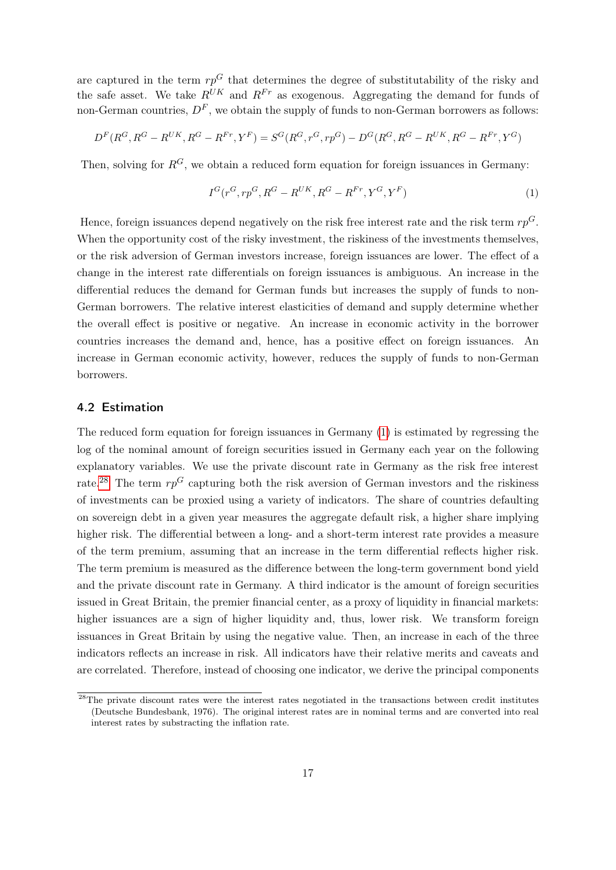are captured in the term  $rp^{G}$  that determines the degree of substitutability of the risky and the safe asset. We take  $R^{UK}$  and  $R^{Fr}$  as exogenous. Aggregating the demand for funds of non-German countries,  $D<sup>F</sup>$ , we obtain the supply of funds to non-German borrowers as follows:

$$
D^{F}(R^{G}, R^{G}-R^{UK}, R^{G}-R^{Fr}, Y^{F})=S^{G}(R^{G}, r^{G}, rp^{G})-D^{G}(R^{G}, R^{G}-R^{UK}, R^{G}-R^{Fr}, Y^{G})
$$

Then, solving for  $R^G$ , we obtain a reduced form equation for foreign issuances in Germany:

<span id="page-16-0"></span>
$$
I^G(r^G, rp^G, R^G - R^{UK}, R^G - R^{Fr}, Y^G, Y^F)
$$
\n
$$
(1)
$$

Hence, foreign issuances depend negatively on the risk free interest rate and the risk term  $rp^{G}$ . When the opportunity cost of the risky investment, the riskiness of the investments themselves, or the risk adversion of German investors increase, foreign issuances are lower. The effect of a change in the interest rate differentials on foreign issuances is ambiguous. An increase in the differential reduces the demand for German funds but increases the supply of funds to non-German borrowers. The relative interest elasticities of demand and supply determine whether the overall effect is positive or negative. An increase in economic activity in the borrower countries increases the demand and, hence, has a positive effect on foreign issuances. An increase in German economic activity, however, reduces the supply of funds to non-German borrowers.

#### 4.2 Estimation

The reduced form equation for foreign issuances in Germany [\(1\)](#page-16-0) is estimated by regressing the log of the nominal amount of foreign securities issued in Germany each year on the following explanatory variables. We use the private discount rate in Germany as the risk free interest rate.<sup>[28](#page-16-1)</sup> The term  $rp^G$  capturing both the risk aversion of German investors and the riskiness of investments can be proxied using a variety of indicators. The share of countries defaulting on sovereign debt in a given year measures the aggregate default risk, a higher share implying higher risk. The differential between a long- and a short-term interest rate provides a measure of the term premium, assuming that an increase in the term differential reflects higher risk. The term premium is measured as the difference between the long-term government bond yield and the private discount rate in Germany. A third indicator is the amount of foreign securities issued in Great Britain, the premier financial center, as a proxy of liquidity in financial markets: higher issuances are a sign of higher liquidity and, thus, lower risk. We transform foreign issuances in Great Britain by using the negative value. Then, an increase in each of the three indicators reflects an increase in risk. All indicators have their relative merits and caveats and are correlated. Therefore, instead of choosing one indicator, we derive the principal components

<span id="page-16-1"></span><sup>&</sup>lt;sup>28</sup>The private discount rates were the interest rates negotiated in the transactions between credit institutes (Deutsche Bundesbank, 1976). The original interest rates are in nominal terms and are converted into real interest rates by substracting the inflation rate.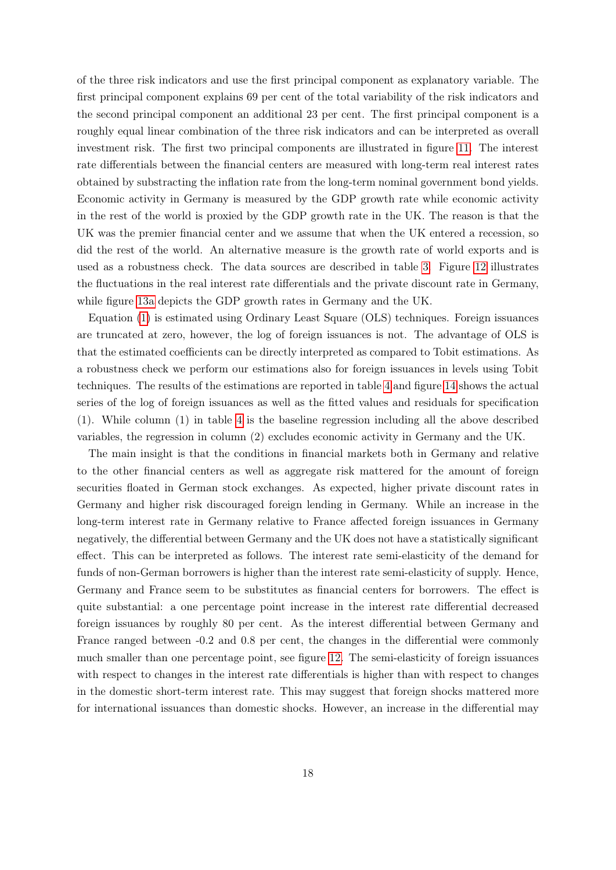of the three risk indicators and use the first principal component as explanatory variable. The first principal component explains 69 per cent of the total variability of the risk indicators and the second principal component an additional 23 per cent. The first principal component is a roughly equal linear combination of the three risk indicators and can be interpreted as overall investment risk. The first two principal components are illustrated in figure [11.](#page-33-0) The interest rate differentials between the financial centers are measured with long-term real interest rates obtained by substracting the inflation rate from the long-term nominal government bond yields. Economic activity in Germany is measured by the GDP growth rate while economic activity in the rest of the world is proxied by the GDP growth rate in the UK. The reason is that the UK was the premier financial center and we assume that when the UK entered a recession, so did the rest of the world. An alternative measure is the growth rate of world exports and is used as a robustness check. The data sources are described in table [3.](#page-33-1) Figure [12](#page-34-0) illustrates the fluctuations in the real interest rate differentials and the private discount rate in Germany, while figure [13a](#page-35-0) depicts the GDP growth rates in Germany and the UK.

Equation [\(1\)](#page-16-0) is estimated using Ordinary Least Square (OLS) techniques. Foreign issuances are truncated at zero, however, the log of foreign issuances is not. The advantage of OLS is that the estimated coefficients can be directly interpreted as compared to Tobit estimations. As a robustness check we perform our estimations also for foreign issuances in levels using Tobit techniques. The results of the estimations are reported in table [4](#page-36-0) and figure [14](#page-37-0) shows the actual series of the log of foreign issuances as well as the fitted values and residuals for specification (1). While column (1) in table [4](#page-36-0) is the baseline regression including all the above described variables, the regression in column (2) excludes economic activity in Germany and the UK.

The main insight is that the conditions in financial markets both in Germany and relative to the other financial centers as well as aggregate risk mattered for the amount of foreign securities floated in German stock exchanges. As expected, higher private discount rates in Germany and higher risk discouraged foreign lending in Germany. While an increase in the long-term interest rate in Germany relative to France affected foreign issuances in Germany negatively, the differential between Germany and the UK does not have a statistically significant effect. This can be interpreted as follows. The interest rate semi-elasticity of the demand for funds of non-German borrowers is higher than the interest rate semi-elasticity of supply. Hence, Germany and France seem to be substitutes as financial centers for borrowers. The effect is quite substantial: a one percentage point increase in the interest rate differential decreased foreign issuances by roughly 80 per cent. As the interest differential between Germany and France ranged between -0.2 and 0.8 per cent, the changes in the differential were commonly much smaller than one percentage point, see figure [12.](#page-34-0) The semi-elasticity of foreign issuances with respect to changes in the interest rate differentials is higher than with respect to changes in the domestic short-term interest rate. This may suggest that foreign shocks mattered more for international issuances than domestic shocks. However, an increase in the differential may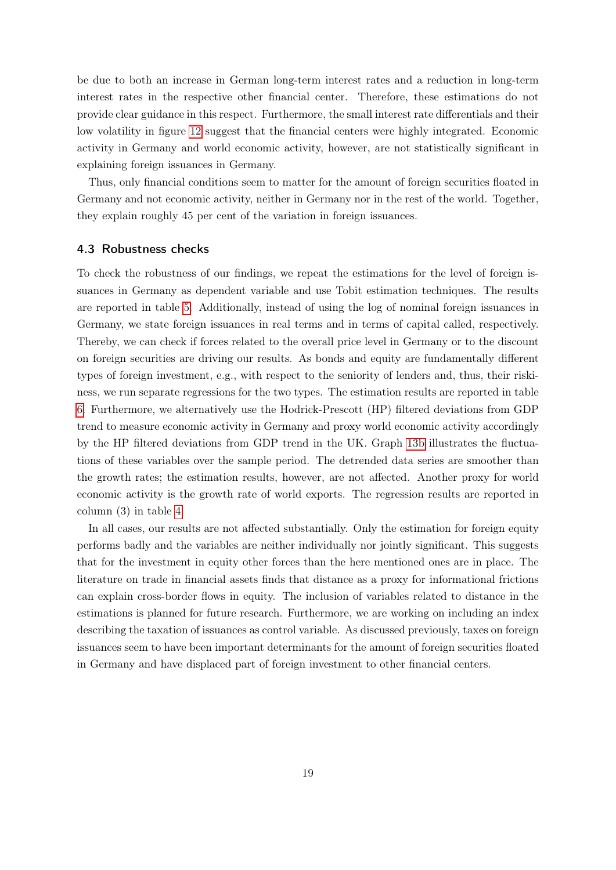be due to both an increase in German long-term interest rates and a reduction in long-term interest rates in the respective other financial center. Therefore, these estimations do not provide clear guidance in this respect. Furthermore, the small interest rate differentials and their low volatility in figure [12](#page-34-0) suggest that the financial centers were highly integrated. Economic activity in Germany and world economic activity, however, are not statistically significant in explaining foreign issuances in Germany.

Thus, only financial conditions seem to matter for the amount of foreign securities floated in Germany and not economic activity, neither in Germany nor in the rest of the world. Together, they explain roughly 45 per cent of the variation in foreign issuances.

#### 4.3 Robustness checks

To check the robustness of our findings, we repeat the estimations for the level of foreign issuances in Germany as dependent variable and use Tobit estimation techniques. The results are reported in table [5.](#page-38-0) Additionally, instead of using the log of nominal foreign issuances in Germany, we state foreign issuances in real terms and in terms of capital called, respectively. Thereby, we can check if forces related to the overall price level in Germany or to the discount on foreign securities are driving our results. As bonds and equity are fundamentally different types of foreign investment, e.g., with respect to the seniority of lenders and, thus, their riskiness, we run separate regressions for the two types. The estimation results are reported in table [6.](#page-39-0) Furthermore, we alternatively use the Hodrick-Prescott (HP) filtered deviations from GDP trend to measure economic activity in Germany and proxy world economic activity accordingly by the HP filtered deviations from GDP trend in the UK. Graph [13b](#page-35-1) illustrates the fluctuations of these variables over the sample period. The detrended data series are smoother than the growth rates; the estimation results, however, are not affected. Another proxy for world economic activity is the growth rate of world exports. The regression results are reported in column (3) in table [4.](#page-36-0)

In all cases, our results are not affected substantially. Only the estimation for foreign equity performs badly and the variables are neither individually nor jointly significant. This suggests that for the investment in equity other forces than the here mentioned ones are in place. The literature on trade in financial assets finds that distance as a proxy for informational frictions can explain cross-border flows in equity. The inclusion of variables related to distance in the estimations is planned for future research. Furthermore, we are working on including an index describing the taxation of issuances as control variable. As discussed previously, taxes on foreign issuances seem to have been important determinants for the amount of foreign securities floated in Germany and have displaced part of foreign investment to other financial centers.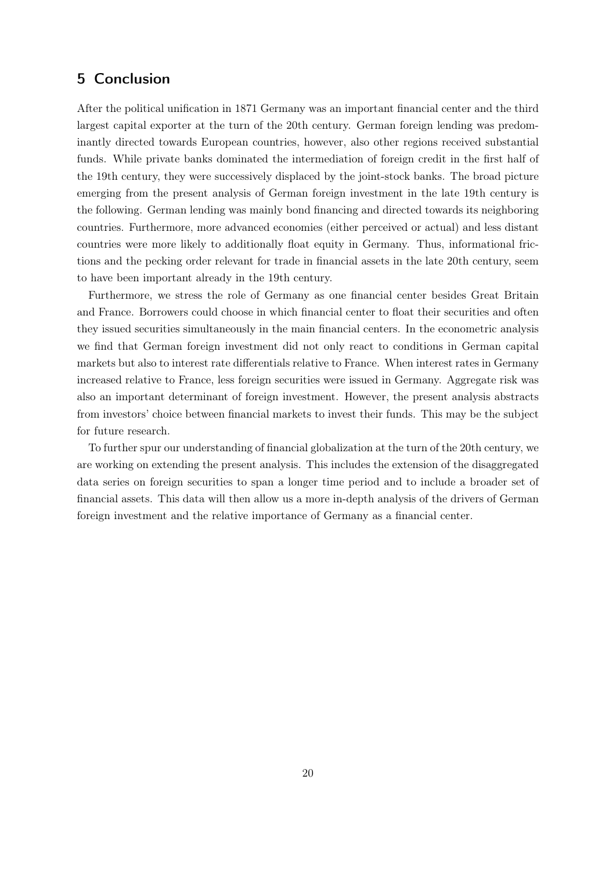# <span id="page-19-0"></span>5 Conclusion

After the political unification in 1871 Germany was an important financial center and the third largest capital exporter at the turn of the 20th century. German foreign lending was predominantly directed towards European countries, however, also other regions received substantial funds. While private banks dominated the intermediation of foreign credit in the first half of the 19th century, they were successively displaced by the joint-stock banks. The broad picture emerging from the present analysis of German foreign investment in the late 19th century is the following. German lending was mainly bond financing and directed towards its neighboring countries. Furthermore, more advanced economies (either perceived or actual) and less distant countries were more likely to additionally float equity in Germany. Thus, informational frictions and the pecking order relevant for trade in financial assets in the late 20th century, seem to have been important already in the 19th century.

Furthermore, we stress the role of Germany as one financial center besides Great Britain and France. Borrowers could choose in which financial center to float their securities and often they issued securities simultaneously in the main financial centers. In the econometric analysis we find that German foreign investment did not only react to conditions in German capital markets but also to interest rate differentials relative to France. When interest rates in Germany increased relative to France, less foreign securities were issued in Germany. Aggregate risk was also an important determinant of foreign investment. However, the present analysis abstracts from investors' choice between financial markets to invest their funds. This may be the subject for future research.

To further spur our understanding of financial globalization at the turn of the 20th century, we are working on extending the present analysis. This includes the extension of the disaggregated data series on foreign securities to span a longer time period and to include a broader set of financial assets. This data will then allow us a more in-depth analysis of the drivers of German foreign investment and the relative importance of Germany as a financial center.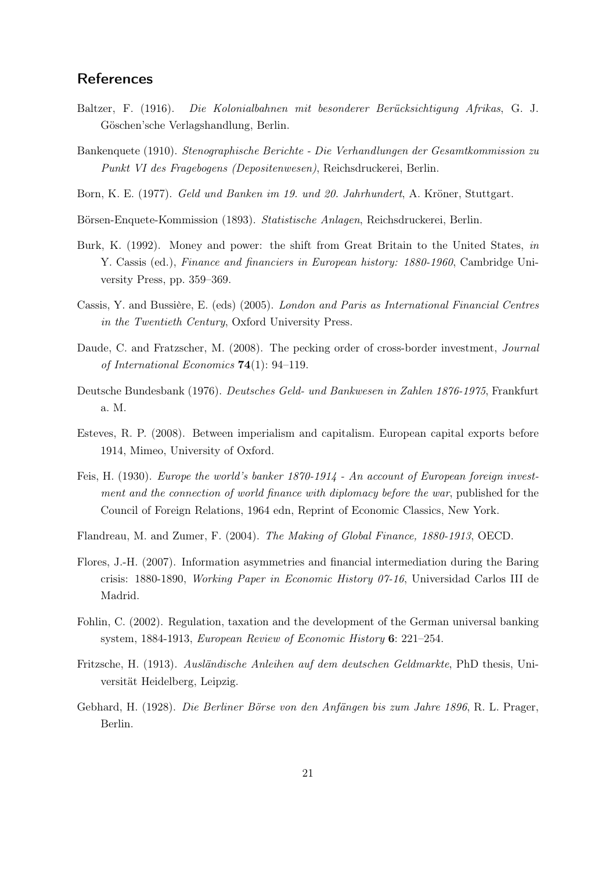## **References**

- Baltzer, F. (1916). Die Kolonialbahnen mit besonderer Berücksichtigung Afrikas, G. J. Göschen'sche Verlagshandlung, Berlin.
- Bankenquete (1910). Stenographische Berichte Die Verhandlungen der Gesamtkommission zu Punkt VI des Fragebogens (Depositenwesen), Reichsdruckerei, Berlin.
- Born, K. E. (1977). Geld und Banken im 19. und 20. Jahrhundert, A. Kröner, Stuttgart.
- Börsen-Enquete-Kommission (1893). Statistische Anlagen, Reichsdruckerei, Berlin.
- Burk, K. (1992). Money and power: the shift from Great Britain to the United States, in Y. Cassis (ed.), Finance and financiers in European history: 1880-1960, Cambridge University Press, pp. 359–369.
- Cassis, Y. and Bussière, E. (eds) (2005). London and Paris as International Financial Centres in the Twentieth Century, Oxford University Press.
- Daude, C. and Fratzscher, M. (2008). The pecking order of cross-border investment, *Journal* of International Economics 74(1): 94–119.
- Deutsche Bundesbank (1976). Deutsches Geld- und Bankwesen in Zahlen 1876-1975, Frankfurt a. M.
- Esteves, R. P. (2008). Between imperialism and capitalism. European capital exports before 1914, Mimeo, University of Oxford.
- Feis, H. (1930). Europe the world's banker 1870-1914 An account of European foreign investment and the connection of world finance with diplomacy before the war, published for the Council of Foreign Relations, 1964 edn, Reprint of Economic Classics, New York.
- Flandreau, M. and Zumer, F. (2004). The Making of Global Finance, 1880-1913, OECD.
- Flores, J.-H. (2007). Information asymmetries and financial intermediation during the Baring crisis: 1880-1890, Working Paper in Economic History 07-16, Universidad Carlos III de Madrid.
- Fohlin, C. (2002). Regulation, taxation and the development of the German universal banking system, 1884-1913, European Review of Economic History 6: 221–254.
- Fritzsche, H. (1913). Ausländische Anleihen auf dem deutschen Geldmarkte, PhD thesis, Universität Heidelberg, Leipzig.
- Gebhard, H. (1928). Die Berliner Börse von den Anfängen bis zum Jahre 1896, R. L. Prager, Berlin.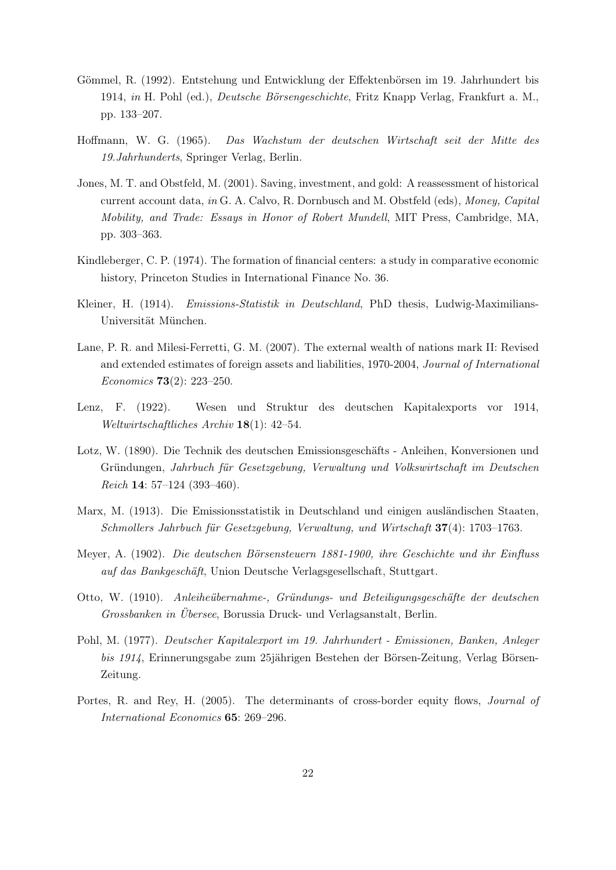- Gömmel, R. (1992). Entstehung und Entwicklung der Effektenbörsen im 19. Jahrhundert bis 1914, in H. Pohl (ed.), Deutsche Börsengeschichte, Fritz Knapp Verlag, Frankfurt a. M., pp. 133–207.
- Hoffmann, W. G. (1965). Das Wachstum der deutschen Wirtschaft seit der Mitte des 19.Jahrhunderts, Springer Verlag, Berlin.
- Jones, M. T. and Obstfeld, M. (2001). Saving, investment, and gold: A reassessment of historical current account data, in G. A. Calvo, R. Dornbusch and M. Obstfeld (eds), Money, Capital Mobility, and Trade: Essays in Honor of Robert Mundell, MIT Press, Cambridge, MA, pp. 303–363.
- Kindleberger, C. P. (1974). The formation of financial centers: a study in comparative economic history, Princeton Studies in International Finance No. 36.
- Kleiner, H. (1914). *Emissions-Statistik in Deutschland*, PhD thesis, Ludwig-Maximilians-Universität München.
- Lane, P. R. and Milesi-Ferretti, G. M. (2007). The external wealth of nations mark II: Revised and extended estimates of foreign assets and liabilities, 1970-2004, Journal of International Economics 73(2): 223–250.
- Lenz, F. (1922). Wesen und Struktur des deutschen Kapitalexports vor 1914, Weltwirtschaftliches Archiv 18(1): 42–54.
- Lotz, W. (1890). Die Technik des deutschen Emissionsgeschäfts Anleihen, Konversionen und Gründungen, Jahrbuch für Gesetzgebung, Verwaltung und Volkswirtschaft im Deutschen Reich 14: 57–124 (393–460).
- Marx, M. (1913). Die Emissionsstatistik in Deutschland und einigen ausländischen Staaten, Schmollers Jahrbuch für Gesetzgebung, Verwaltung, und Wirtschaft 37(4): 1703–1763.
- Meyer, A. (1902). Die deutschen Börsensteuern 1881-1900, ihre Geschichte und ihr Einfluss auf das Bankgeschäft, Union Deutsche Verlagsgesellschaft, Stuttgart.
- Otto, W. (1910). Anleiheübernahme-, Gründungs- und Beteiligungsgeschäfte der deutschen Grossbanken in Übersee, Borussia Druck- und Verlagsanstalt, Berlin.
- Pohl, M. (1977). Deutscher Kapitalexport im 19. Jahrhundert Emissionen, Banken, Anleger bis 1914, Erinnerungsgabe zum 25jährigen Bestehen der Börsen-Zeitung, Verlag Börsen-Zeitung.
- Portes, R. and Rey, H. (2005). The determinants of cross-border equity flows, *Journal of* International Economics 65: 269–296.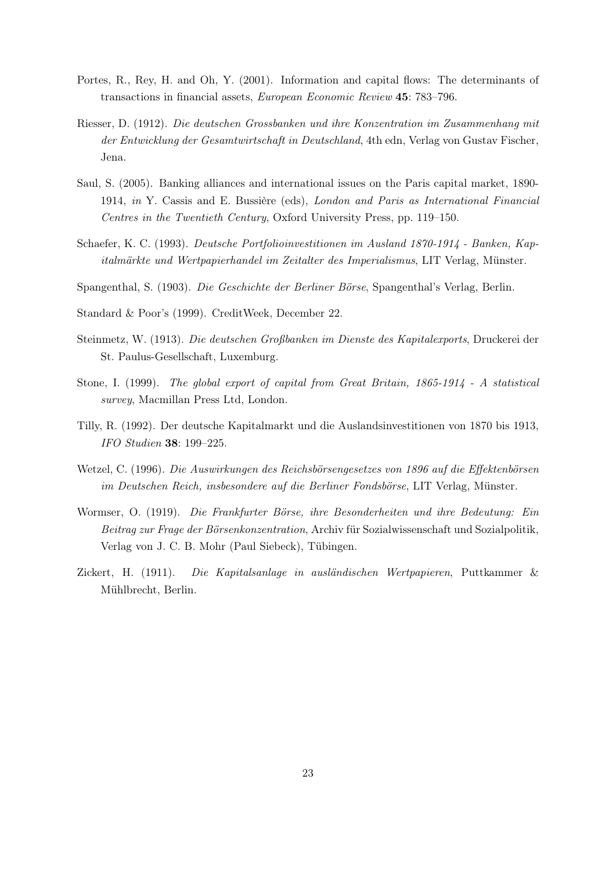- Portes, R., Rey, H. and Oh, Y. (2001). Information and capital flows: The determinants of transactions in financial assets, European Economic Review 45: 783–796.
- Riesser, D. (1912). Die deutschen Grossbanken und ihre Konzentration im Zusammenhang mit der Entwicklung der Gesamtwirtschaft in Deutschland, 4th edn, Verlag von Gustav Fischer, Jena.
- Saul, S. (2005). Banking alliances and international issues on the Paris capital market, 1890- 1914, in Y. Cassis and E. Bussière (eds), London and Paris as International Financial Centres in the Twentieth Century, Oxford University Press, pp. 119–150.
- Schaefer, K. C. (1993). Deutsche Portfolioinvestitionen im Ausland 1870-1914 Banken, Kapitalmärkte und Wertpapierhandel im Zeitalter des Imperialismus, LIT Verlag, Münster.
- Spangenthal, S. (1903). Die Geschichte der Berliner Börse, Spangenthal's Verlag, Berlin.
- Standard & Poor's (1999). CreditWeek, December 22.
- Steinmetz, W. (1913). Die deutschen Großbanken im Dienste des Kapitalexports, Druckerei der St. Paulus-Gesellschaft, Luxemburg.
- Stone, I. (1999). The global export of capital from Great Britain, 1865-1914 A statistical survey, Macmillan Press Ltd, London.
- Tilly, R. (1992). Der deutsche Kapitalmarkt und die Auslandsinvestitionen von 1870 bis 1913, IFO Studien 38: 199–225.
- Wetzel, C. (1996). Die Auswirkungen des Reichsbörsengesetzes von 1896 auf die Effektenbörsen im Deutschen Reich, insbesondere auf die Berliner Fondsbörse, LIT Verlag, Münster.
- Wormser, O. (1919). Die Frankfurter Börse, ihre Besonderheiten und ihre Bedeutung: Ein Beitrag zur Frage der Börsenkonzentration, Archiv für Sozialwissenschaft und Sozialpolitik, Verlag von J. C. B. Mohr (Paul Siebeck), Tübingen.
- Zickert, H. (1911). Die Kapitalsanlage in ausländischen Wertpapieren, Puttkammer & Mühlbrecht, Berlin.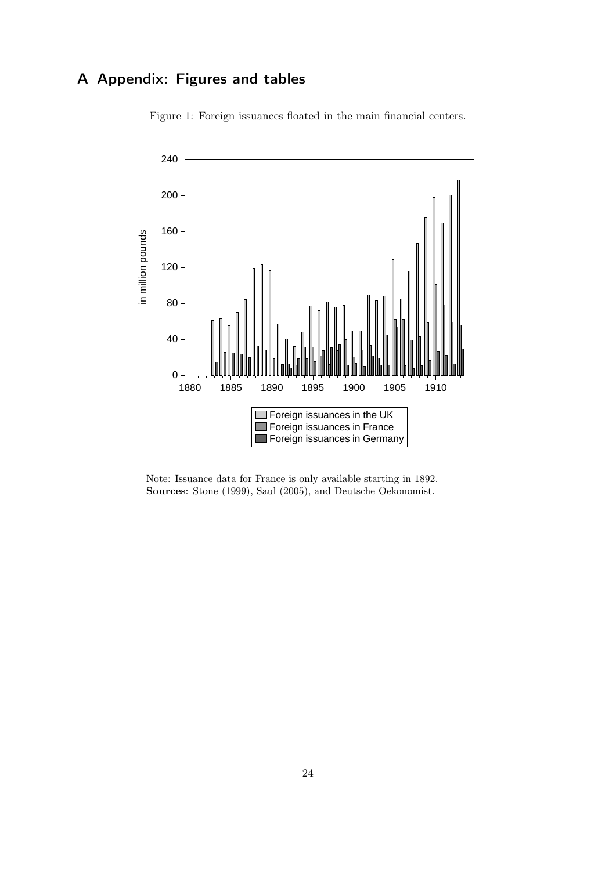# A Appendix: Figures and tables



<span id="page-23-0"></span>Figure 1: Foreign issuances floated in the main financial centers.

Note: Issuance data for France is only available starting in 1892. Sources: Stone (1999), Saul (2005), and Deutsche Oekonomist.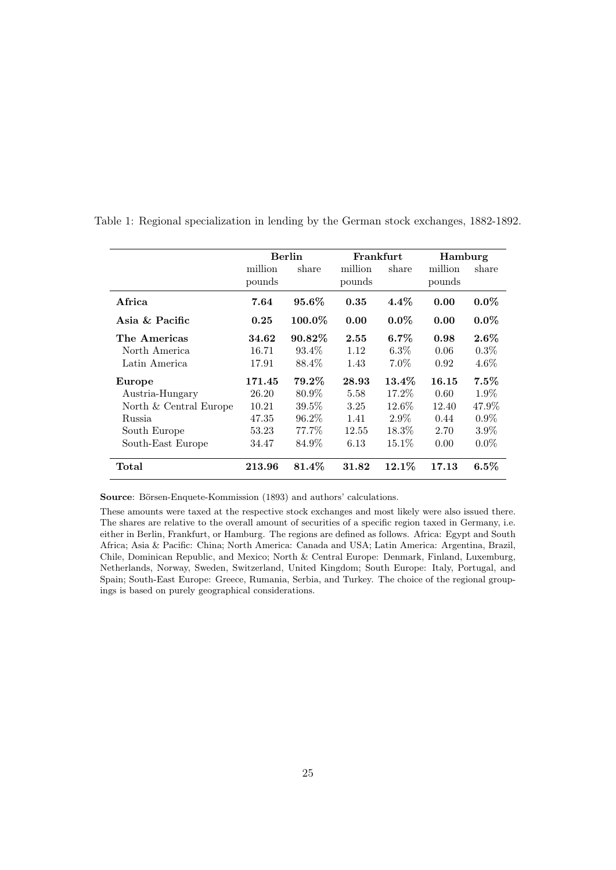|                        | <b>Berlin</b> |           |         | Frankfurt | Hamburg |         |  |  |  |
|------------------------|---------------|-----------|---------|-----------|---------|---------|--|--|--|
|                        | million       | share     | million | share     | million | share   |  |  |  |
|                        | pounds        |           | pounds  |           | pounds  |         |  |  |  |
| Africa                 | 7.64          | $95.6\%$  | 0.35    | $4.4\%$   | 0.00    | $0.0\%$ |  |  |  |
| Asia $\&$ Pacific      | 0.25          | $100.0\%$ | 0.00    | $0.0\%$   | 0.00    | $0.0\%$ |  |  |  |
| The Americas           | 34.62         | $90.82\%$ | 2.55    | $6.7\%$   | 0.98    | $2.6\%$ |  |  |  |
| North America          | 16.71         | 93.4\%    | 1.12    | $6.3\%$   | 0.06    | 0.3%    |  |  |  |
| Latin America          | 17.91         | 88.4\%    | 1.43    | $7.0\%$   | 0.92    | $4.6\%$ |  |  |  |
| Europe                 | 171.45        | $79.2\%$  | 28.93   | $13.4\%$  | 16.15   | $7.5\%$ |  |  |  |
| Austria-Hungary        | 26.20         | 80.9%     | 5.58    | 17.2%     | 0.60    | $1.9\%$ |  |  |  |
| North & Central Europe | 10.21         | $39.5\%$  | 3.25    | $12.6\%$  | 12.40   | 47.9%   |  |  |  |
| Russia                 | 47.35         | 96.2%     | 1.41    | $2.9\%$   | 0.44    | $0.9\%$ |  |  |  |
| South Europe           | 53.23         | 77.7%     | 12.55   | $18.3\%$  | 2.70    | $3.9\%$ |  |  |  |
| South-East Europe      | 34.47         | 84.9%     | 6.13    | $15.1\%$  | 0.00    | $0.0\%$ |  |  |  |
| $\rm Total$            | 213.96        | 81.4%     | 31.82   | 12.1%     | 17.13   | $6.5\%$ |  |  |  |

<span id="page-24-0"></span>Table 1: Regional specialization in lending by the German stock exchanges, 1882-1892.

Source: Börsen-Enquete-Kommission (1893) and authors' calculations.

These amounts were taxed at the respective stock exchanges and most likely were also issued there. The shares are relative to the overall amount of securities of a specific region taxed in Germany, i.e. either in Berlin, Frankfurt, or Hamburg. The regions are defined as follows. Africa: Egypt and South Africa; Asia & Pacific: China; North America: Canada and USA; Latin America: Argentina, Brazil, Chile, Dominican Republic, and Mexico; North & Central Europe: Denmark, Finland, Luxemburg, Netherlands, Norway, Sweden, Switzerland, United Kingdom; South Europe: Italy, Portugal, and Spain; South-East Europe: Greece, Rumania, Serbia, and Turkey. The choice of the regional groupings is based on purely geographical considerations.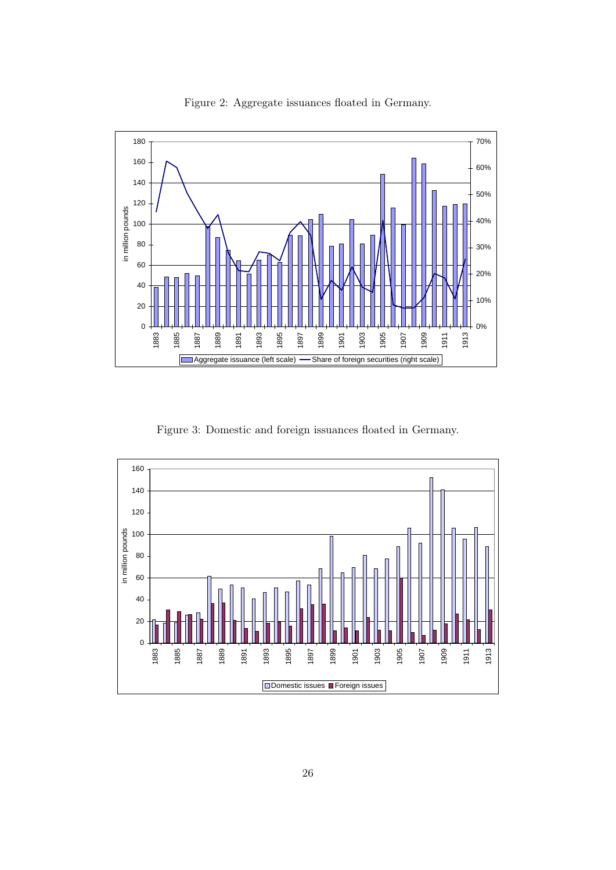

<span id="page-25-0"></span>Figure 2: Aggregate issuances floated in Germany.

<span id="page-25-1"></span>Figure 3: Domestic and foreign issuances floated in Germany.

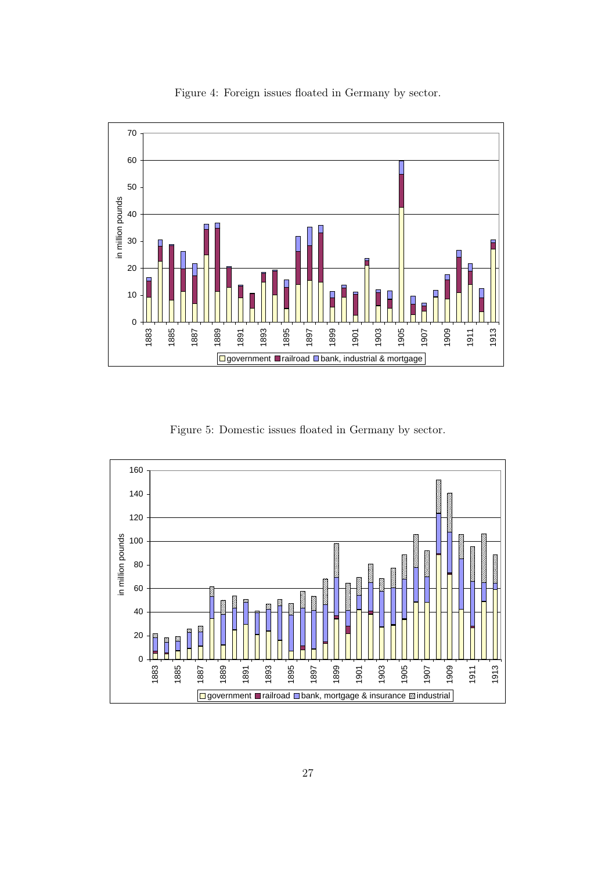

<span id="page-26-0"></span>Figure 4: Foreign issues floated in Germany by sector.

<span id="page-26-1"></span>Figure 5: Domestic issues floated in Germany by sector.

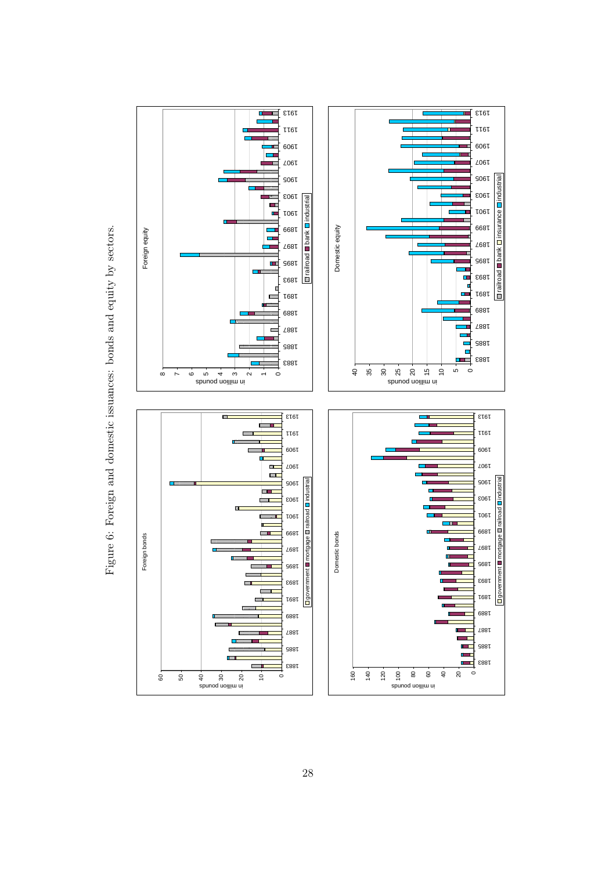<span id="page-27-0"></span>Figure 6: Foreign and domestic issuances: bonds and equity by sectors. Figure 6: Foreign and domestic issuances: bonds and equity by sectors.

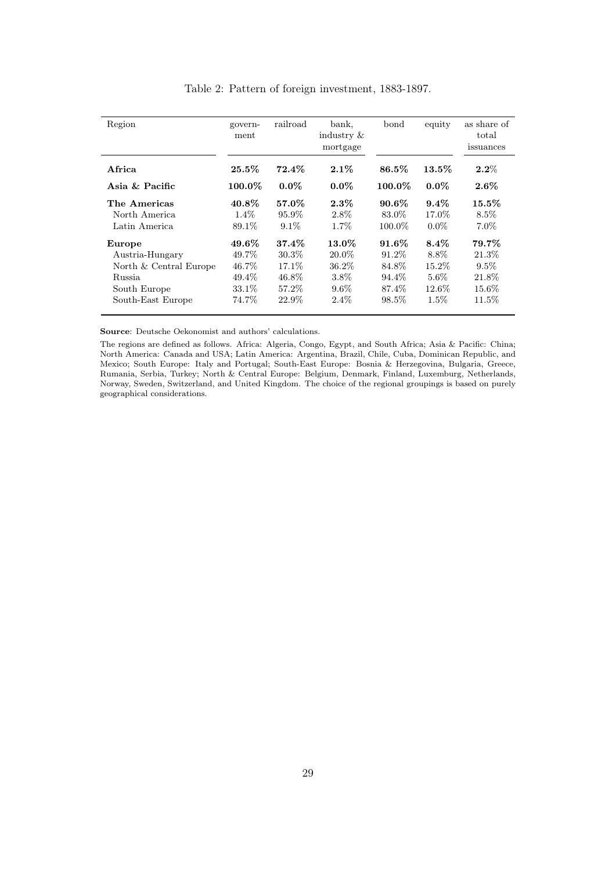| Region                 | govern-<br>ment | railroad | bank,<br>industry $\&$<br>mortgage | bond      | equity   | as share of<br>total<br>issuances |
|------------------------|-----------------|----------|------------------------------------|-----------|----------|-----------------------------------|
| Africa                 | $25.5\%$        | $72.4\%$ | $2.1\%$                            | 86.5%     | $13.5\%$ | $2.2\%$                           |
| Asia & Pacific         | $100.0\%$       | $0.0\%$  | $0.0\%$                            | $100.0\%$ | $0.0\%$  | $2.6\%$                           |
| The Americas           | $40.8\%$        | 57.0%    | $2.3\%$                            | $90.6\%$  | $9.4\%$  | $15.5\%$                          |
| North America          | $1.4\%$         | $95.9\%$ | 2.8%                               | 83.0\%    | 17.0%    | $8.5\%$                           |
| Latin America          | 89.1%           | $9.1\%$  | $1.7\%$                            | $100.0\%$ | $0.0\%$  | $7.0\%$                           |
| Europe                 | 49.6%           | 37.4%    | 13.0%                              | $91.6\%$  | $8.4\%$  | 79.7%                             |
| Austria-Hungary        | 49.7%           | $30.3\%$ | 20.0%                              | 91.2%     | 8.8%     | $21.3\%$                          |
| North & Central Europe | 46.7%           | 17.1\%   | 36.2%                              | 84.8%     | 15.2\%   | $9.5\%$                           |
| Russia                 | 49.4%           | 46.8%    | $3.8\%$                            | 94.4%     | $5.6\%$  | 21.8%                             |
| South Europe           | 33.1\%          | 57.2%    | $9.6\%$                            | 87.4%     | $12.6\%$ | 15.6%                             |
| South-East Europe      | 74.7%           | 22.9%    | $2.4\%$                            | 98.5%     | $1.5\%$  | 11.5%                             |

<span id="page-28-0"></span>Table 2: Pattern of foreign investment, 1883-1897.

Source: Deutsche Oekonomist and authors' calculations.

The regions are defined as follows. Africa: Algeria, Congo, Egypt, and South Africa; Asia & Pacific: China; North America: Canada and USA; Latin America: Argentina, Brazil, Chile, Cuba, Dominican Republic, and Mexico; South Europe: Italy and Portugal; South-East Europe: Bosnia & Herzegovina, Bulgaria, Greece, Rumania, Serbia, Turkey; North & Central Europe: Belgium, Denmark, Finland, Luxemburg, Netherlands, Norway, Sweden, Switzerland, and United Kingdom. The choice of the regional groupings is based on purely geographical considerations.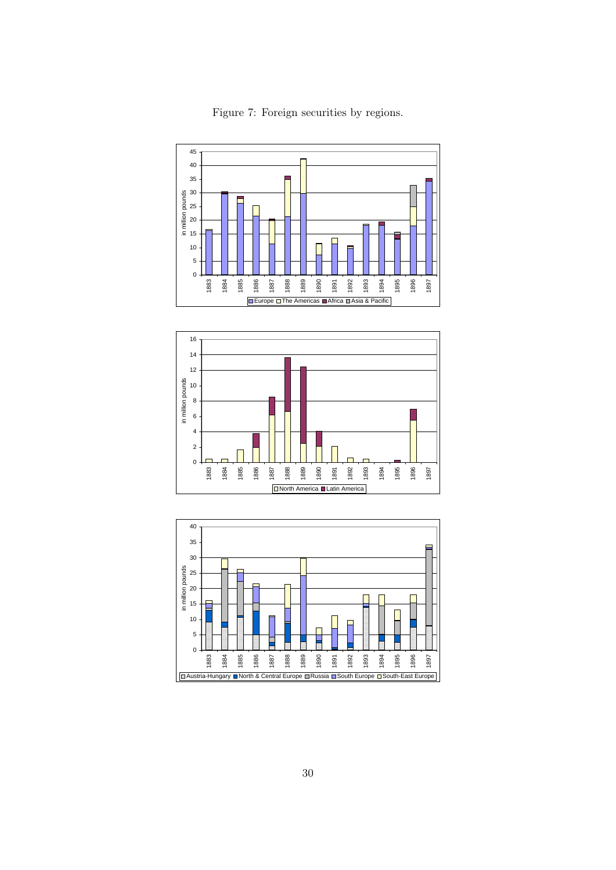

<span id="page-29-0"></span>Figure 7: Foreign securities by regions.



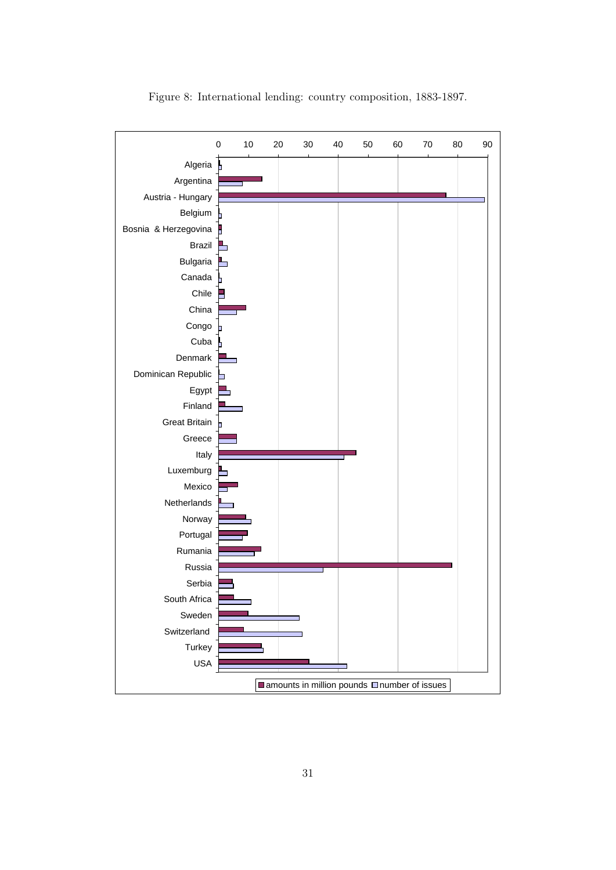

<span id="page-30-0"></span>Figure 8: International lending: country composition, 1883-1897.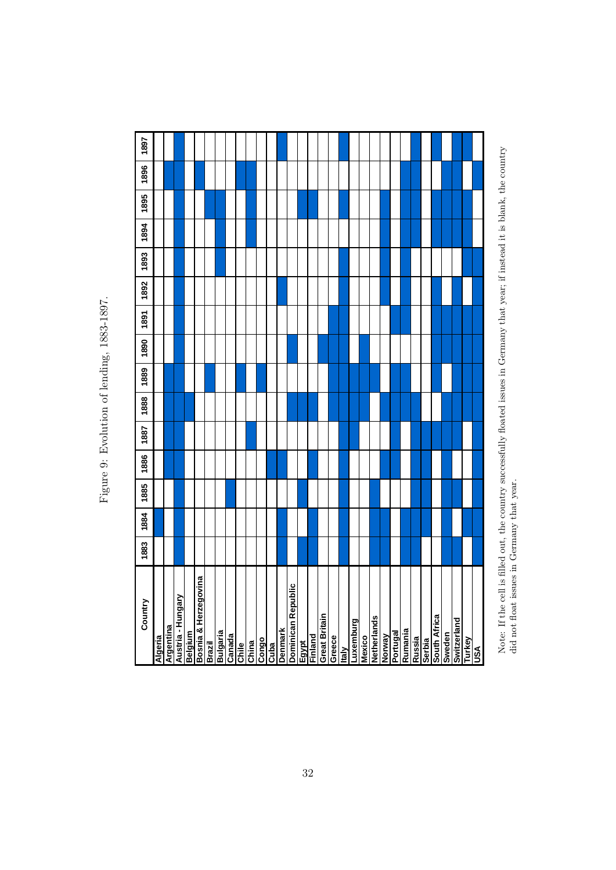Figure 9: Evolution of lending, 1883-1897. Figure 9: Evolution of lending, 1883-1897.

| 1897    |         |           |                   |         |                     |        |                 |        |       |       |       |      |         |                    |       |         |                      |        |              |           |        |                    |        |                 |         |        |        |                     |        |            |                      |  |
|---------|---------|-----------|-------------------|---------|---------------------|--------|-----------------|--------|-------|-------|-------|------|---------|--------------------|-------|---------|----------------------|--------|--------------|-----------|--------|--------------------|--------|-----------------|---------|--------|--------|---------------------|--------|------------|----------------------|--|
|         |         |           |                   |         |                     |        |                 |        |       |       |       |      |         |                    |       |         |                      |        |              |           |        |                    |        |                 |         |        |        |                     |        |            |                      |  |
| 1896    |         |           |                   |         |                     |        |                 |        |       |       |       |      |         |                    |       |         |                      |        |              |           |        |                    |        |                 |         |        |        |                     |        |            |                      |  |
| 1895    |         |           |                   |         |                     |        |                 |        |       |       |       |      |         |                    |       |         |                      |        |              |           |        |                    |        |                 |         |        |        |                     |        |            |                      |  |
| 1894    |         |           |                   |         |                     |        |                 |        |       |       |       |      |         |                    |       |         |                      |        |              |           |        |                    |        |                 |         |        |        |                     |        |            |                      |  |
| 1893    |         |           |                   |         |                     |        |                 |        |       |       |       |      |         |                    |       |         |                      |        |              |           |        |                    |        |                 |         |        |        |                     |        |            |                      |  |
| 1892    |         |           |                   |         |                     |        |                 |        |       |       |       |      |         |                    |       |         |                      |        |              |           |        |                    |        |                 |         |        |        |                     |        |            |                      |  |
| 1891    |         |           |                   |         |                     |        |                 |        |       |       |       |      |         |                    |       |         |                      |        |              |           |        |                    |        |                 |         |        |        |                     |        |            |                      |  |
| 1890    |         |           |                   |         |                     |        |                 |        |       |       |       |      |         |                    |       |         |                      |        |              |           |        |                    |        |                 |         |        |        |                     |        |            |                      |  |
| 1889    |         |           |                   |         |                     |        |                 |        |       |       |       |      |         |                    |       |         |                      |        |              |           |        |                    |        |                 |         |        |        |                     |        |            |                      |  |
| 1888    |         |           |                   |         |                     |        |                 |        |       |       |       |      |         |                    |       |         |                      |        |              |           |        |                    |        |                 |         |        |        |                     |        |            |                      |  |
| 1887    |         |           |                   |         |                     |        |                 |        |       |       |       |      |         |                    |       |         |                      |        |              |           |        |                    |        |                 |         |        |        |                     |        |            |                      |  |
| 1886    |         |           |                   |         |                     |        |                 |        |       |       |       |      |         |                    |       |         |                      |        |              |           |        |                    |        |                 |         |        |        |                     |        |            |                      |  |
| 1885    |         |           |                   |         |                     |        |                 |        |       |       |       |      |         |                    |       |         |                      |        |              |           |        |                    |        |                 |         |        |        |                     |        |            |                      |  |
| 1884    |         |           |                   |         |                     |        |                 |        |       |       |       |      |         |                    |       |         |                      |        |              |           |        |                    |        |                 |         |        |        |                     |        |            |                      |  |
| 1883    |         |           |                   |         |                     |        |                 |        |       |       |       |      |         |                    |       |         |                      |        |              |           |        |                    |        |                 |         |        |        |                     |        |            |                      |  |
| Country | Algeria | Argentina | Austria - Hungary | Belgium | euno6əzıəH ɣ elusog | Brazil | <b>Bulgaria</b> | Canada | Chile | China | Congo | Cuba | Denmark | Dominican Republic | Egypt | Finland | <b>Great Britain</b> | Greece | <u>Italy</u> | Luxemburg | Mexico | <b>Netherlands</b> | Norway | <u>Portugal</u> | Rumania | eissny | Serbia | <b>South Africa</b> | Sweden | pueµəzılmS | <b>Turkey</b><br>USA |  |

<span id="page-31-0"></span>Note: If the cell is filled out, the country successfully floated issues in Germany that year; if instead it is blank, the country did not float issues in Germany that year. Note: If the cell is filled out, the country successfully floated issues in Germany that year; if instead it is blank, the country did not float issues in Germany that year.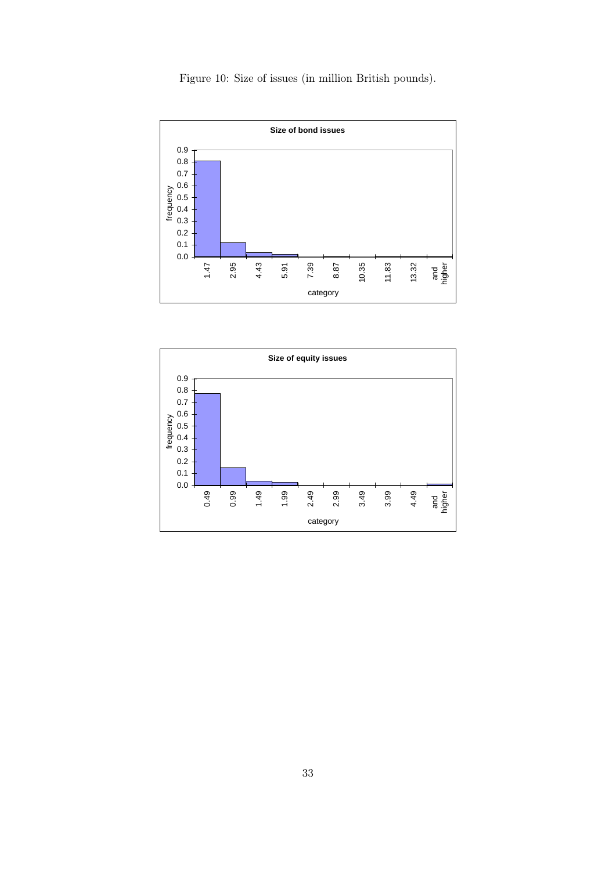<span id="page-32-0"></span>Figure 10: Size of issues (in million British pounds).



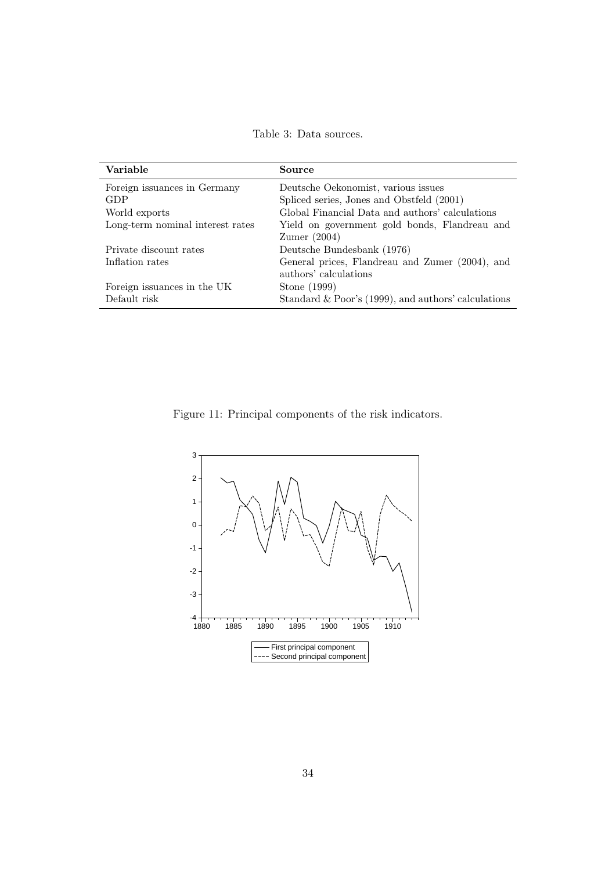<span id="page-33-1"></span>Table 3: Data sources.

| Variable                         | Source                                                 |
|----------------------------------|--------------------------------------------------------|
| Foreign issuances in Germany     | Deutsche Oekonomist, various issues                    |
| GDP                              | Spliced series, Jones and Obstfeld (2001)              |
| World exports                    | Global Financial Data and authors' calculations        |
| Long-term nominal interest rates | Yield on government gold bonds, Flandreau and          |
|                                  | $Z$ umer $(2004)$                                      |
| Private discount rates           | Deutsche Bundesbank (1976)                             |
| Inflation rates                  | General prices, Flandreau and Zumer (2004), and        |
|                                  | authors' calculations                                  |
| Foreign issuances in the UK      | Stone (1999)                                           |
| Default risk                     | Standard & Poor's $(1999)$ , and authors' calculations |

<span id="page-33-0"></span>Figure 11: Principal components of the risk indicators.

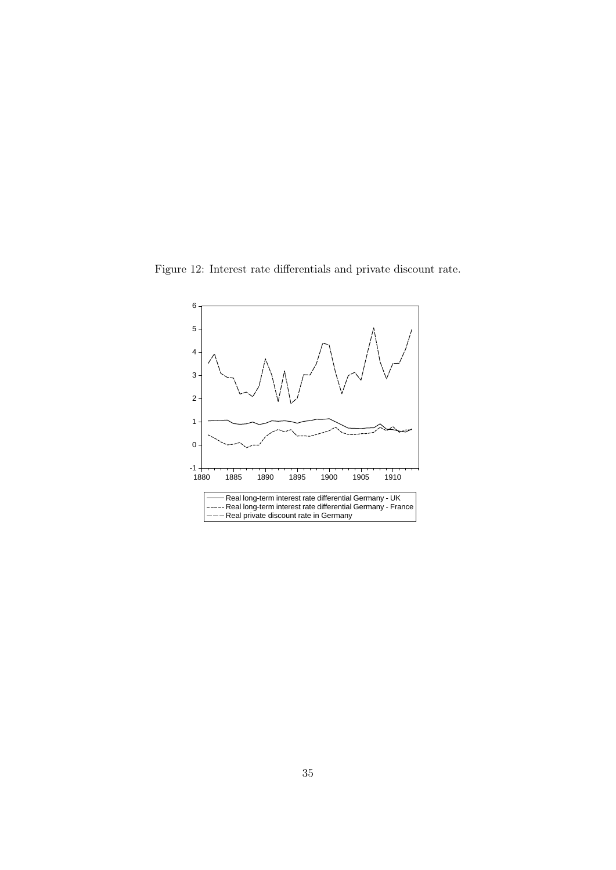Figure 12: Interest rate differentials and private discount rate.

<span id="page-34-0"></span>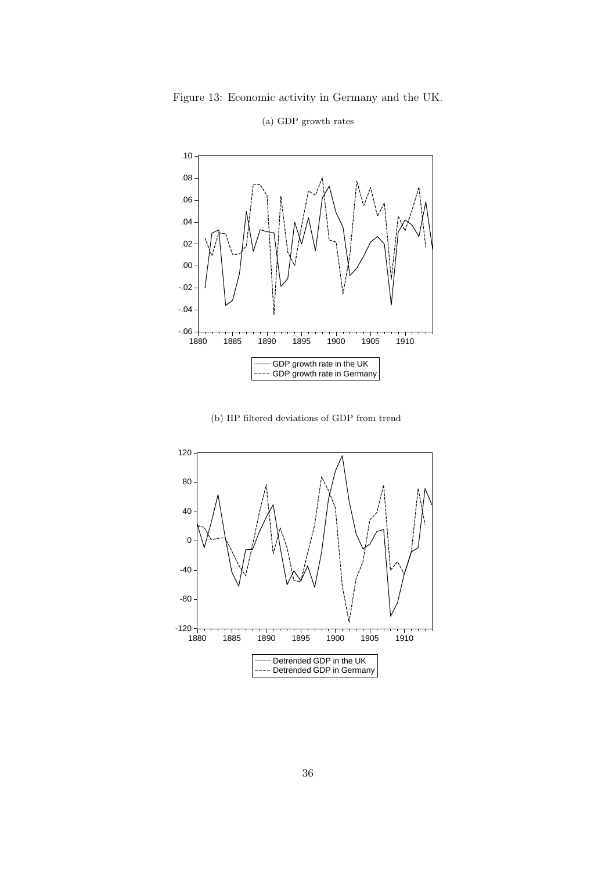Figure 13: Economic activity in Germany and the UK.

<span id="page-35-0"></span>

### (a) GDP growth rates

(b) HP filtered deviations of GDP from trend

<span id="page-35-1"></span>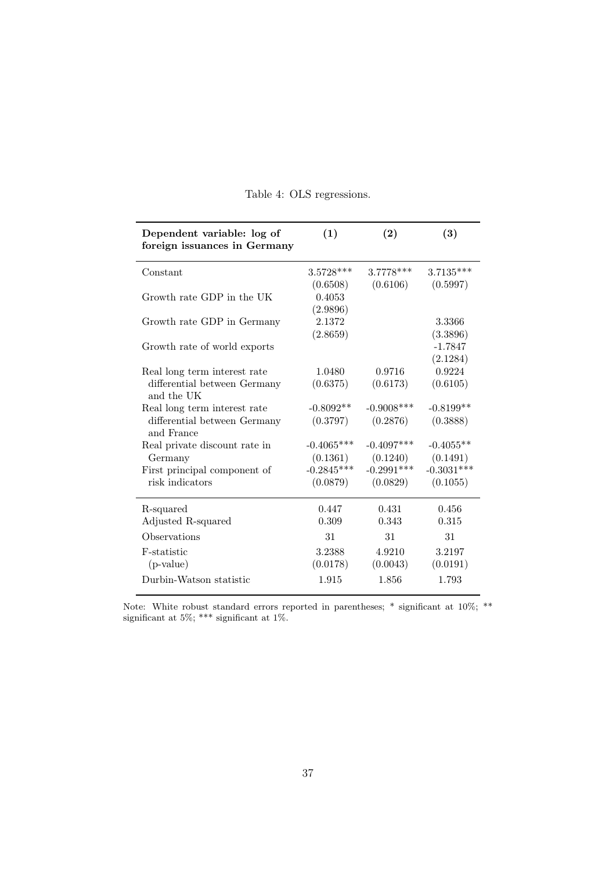| Dependent variable: log of<br>foreign issuances in Germany | (1)          | (2)           | (3)          |
|------------------------------------------------------------|--------------|---------------|--------------|
| Constant                                                   | $3.5728***$  | 3.7778 ***    | $3.7135***$  |
|                                                            | (0.6508)     | (0.6106)      | (0.5997)     |
| Growth rate GDP in the UK                                  | 0.4053       |               |              |
|                                                            | (2.9896)     |               |              |
| Growth rate GDP in Germany                                 | 2.1372       |               | 3.3366       |
|                                                            | (2.8659)     |               | (3.3896)     |
| Growth rate of world exports                               |              |               | $-1.7847$    |
|                                                            |              |               | (2.1284)     |
| Real long term interest rate                               | 1.0480       | 0.9716        | 0.9224       |
| differential between Germany<br>and the UK                 | (0.6375)     | (0.6173)      | (0.6105)     |
| Real long term interest rate                               | $-0.8092**$  | $-0.9008$ *** | $-0.8199**$  |
| differential between Germany<br>and France                 | (0.3797)     | (0.2876)      | (0.3888)     |
| Real private discount rate in                              | $-0.4065***$ | $-0.4097***$  | $-0.4055**$  |
| Germany                                                    | (0.1361)     | (0.1240)      | (0.1491)     |
| First principal component of                               | $-0.2845***$ | $-0.2991***$  | $-0.3031***$ |
| risk indicators                                            | (0.0879)     | (0.0829)      | (0.1055)     |
| R-squared                                                  | 0.447        | 0.431         | 0.456        |
| Adjusted R-squared                                         | 0.309        | 0.343         | 0.315        |
| Observations                                               | 31           | 31            | 31           |
| F-statistic                                                | 3.2388       | 4.9210        | 3.2197       |
| $(p-value)$                                                | (0.0178)     | (0.0043)      | (0.0191)     |
| Durbin-Watson statistic                                    | 1.915        | 1.856         | 1.793        |

<span id="page-36-0"></span>

|  | Table 4: OLS regressions. |
|--|---------------------------|
|  |                           |

Note: White robust standard errors reported in parentheses; \* significant at 10%; \*\* significant at 5%; \*\*\* significant at 1%.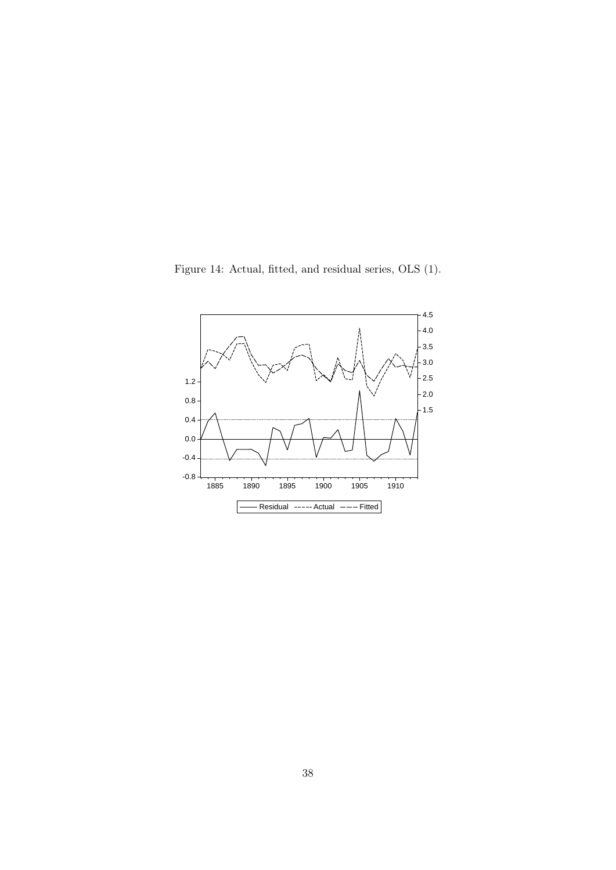<span id="page-37-0"></span>Figure 14: Actual, fitted, and residual series, OLS (1).

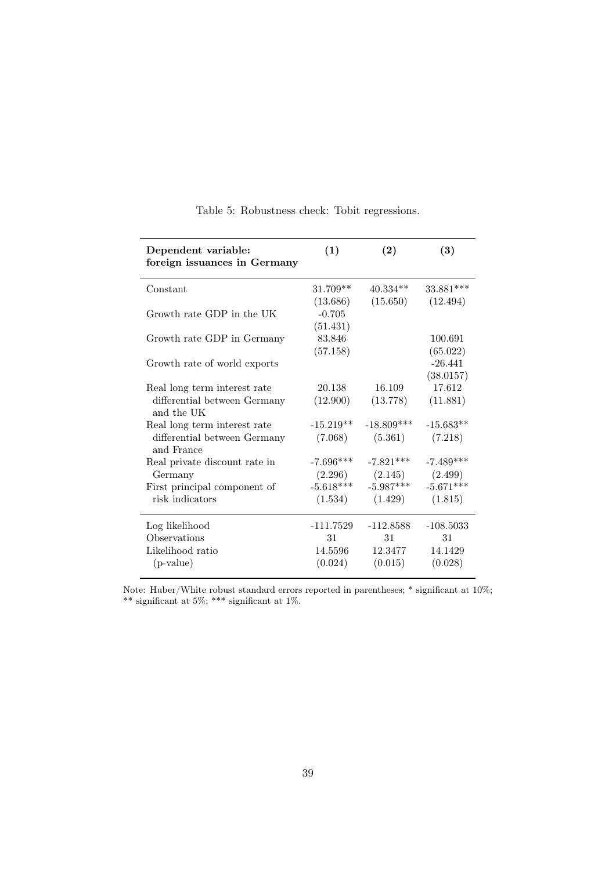| Dependent variable:<br>foreign issuances in Germany | (1)         | (2)                   | (3)         |
|-----------------------------------------------------|-------------|-----------------------|-------------|
| Constant                                            | $31.709**$  | $40.334**$            | 33.881***   |
|                                                     | (13.686)    | $(15.650)$ $(12.494)$ |             |
| Growth rate GDP in the UK                           | $-0.705$    |                       |             |
|                                                     | (51.431)    |                       |             |
| Growth rate GDP in Germany                          | 83.846      |                       | 100.691     |
|                                                     | (57.158)    |                       | (65.022)    |
| Growth rate of world exports                        |             |                       | $-26.441$   |
|                                                     |             |                       | (38.0157)   |
| Real long term interest rate                        | 20.138      | 16.109                | 17.612      |
| differential between Germany<br>and the UK          | (12.900)    | (13.778)              | (11.881)    |
| Real long term interest rate                        | $-15.219**$ | $-18.809***$          | $-15.683**$ |
| differential between Germany<br>and France          | (7.068)     | (5.361)               | (7.218)     |
| Real private discount rate in                       | $-7.696***$ | $-7.821***$           | $-7.489***$ |
| Germany                                             |             | $(2.296)$ $(2.145)$   | (2.499)     |
| First principal component of                        | $-5.618***$ | $-5.987***$           | $-5.671***$ |
| risk indicators                                     | (1.534)     | (1.429)               | (1.815)     |
| Log likelihood                                      | -111.7529   | $-112.8588$           | $-108.5033$ |
| Observations                                        | 31          | 31                    | 31          |
| Likelihood ratio                                    | 14.5596     | 12.3477               | 14.1429     |
| $(p-value)$                                         | (0.024)     | (0.015)               | (0.028)     |

<span id="page-38-0"></span>Table 5: Robustness check: Tobit regressions.

Note: Huber/White robust standard errors reported in parentheses; \* significant at  $10\%$ ; \*\* significant at 5%; \*\*\* significant at 1%.